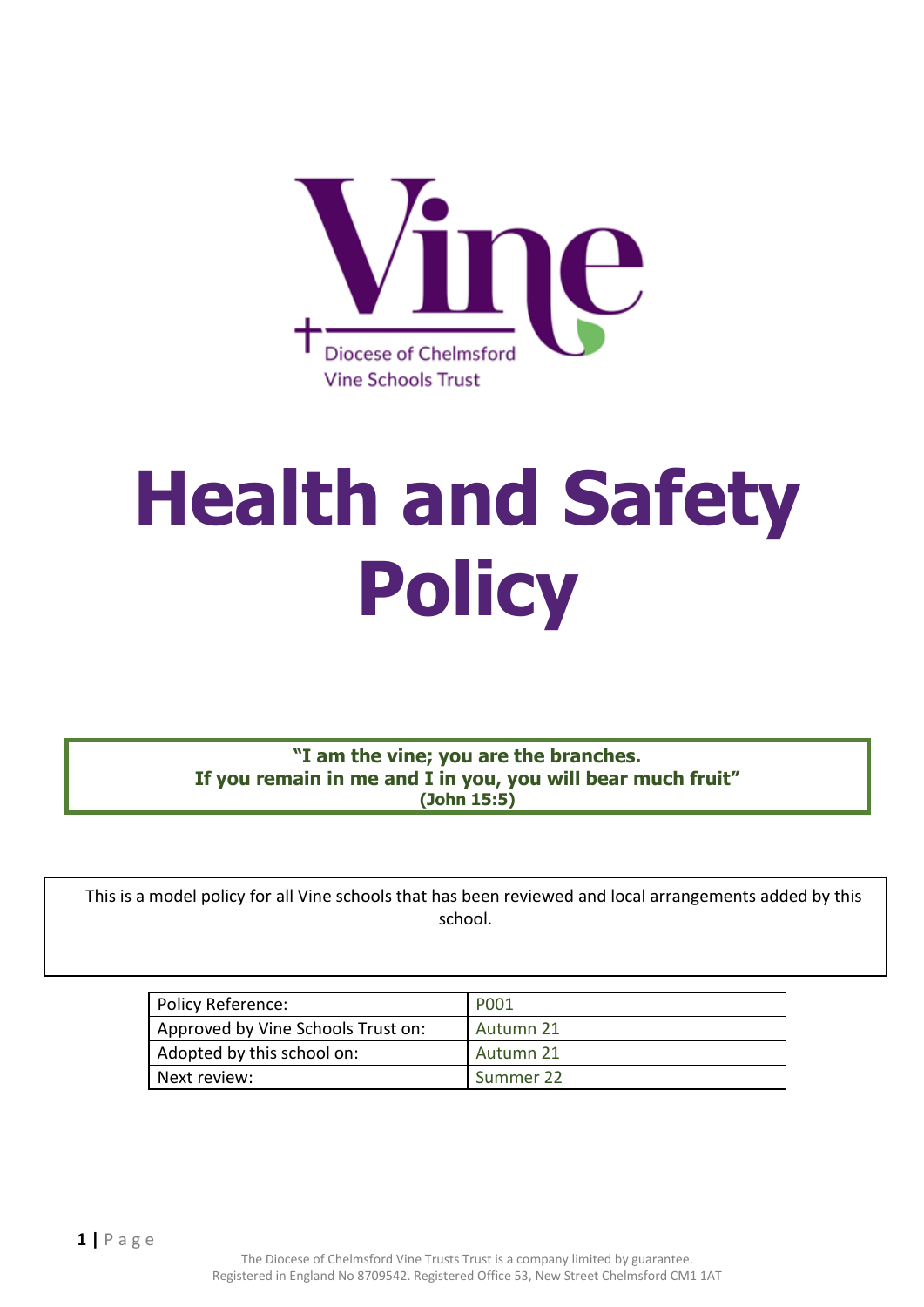

# **Health and Safety Policy**

**"I am the vine; you are the branches. If you remain in me and I in you, you will bear much fruit" (John 15:5)**

 This is a model policy for all Vine schools that has been reviewed and local arrangements added by this school.

| Policy Reference:                  | P001      |
|------------------------------------|-----------|
| Approved by Vine Schools Trust on: | Autumn 21 |
| Adopted by this school on:         | Autumn 21 |
| Next review:                       | Summer 22 |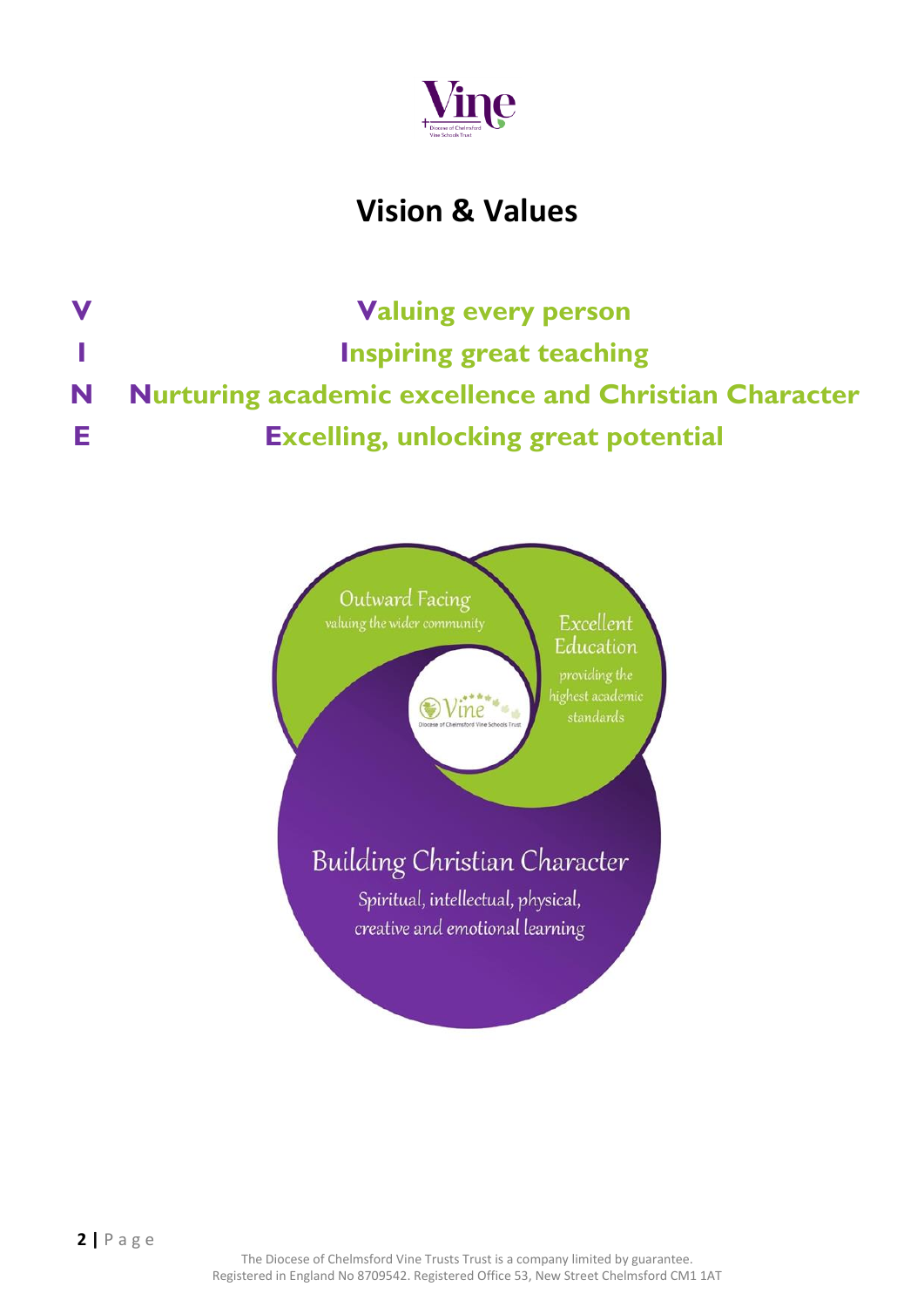

## **Vision & Values**

**V Valuing every person I Inspiring great teaching N Nurturing academic excellence and Christian Character E Excelling, unlocking great potential**

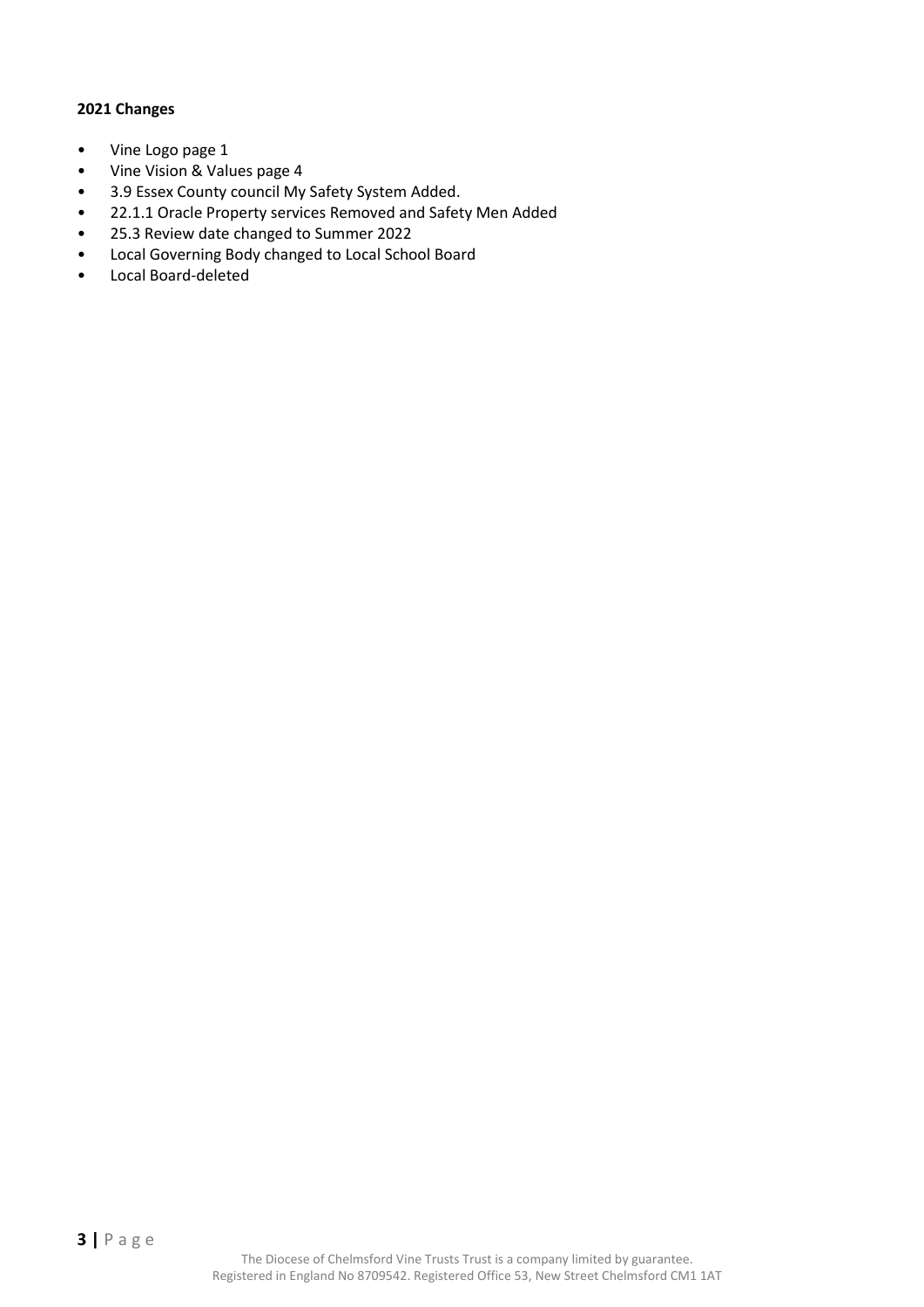#### **2021 Changes**

- Vine Logo page 1
- Vine Vision & Values page 4
- 3.9 Essex County council My Safety System Added.
- 22.1.1 Oracle Property services Removed and Safety Men Added
- 25.3 Review date changed to Summer 2022
- Local Governing Body changed to Local School Board
- Local Board-deleted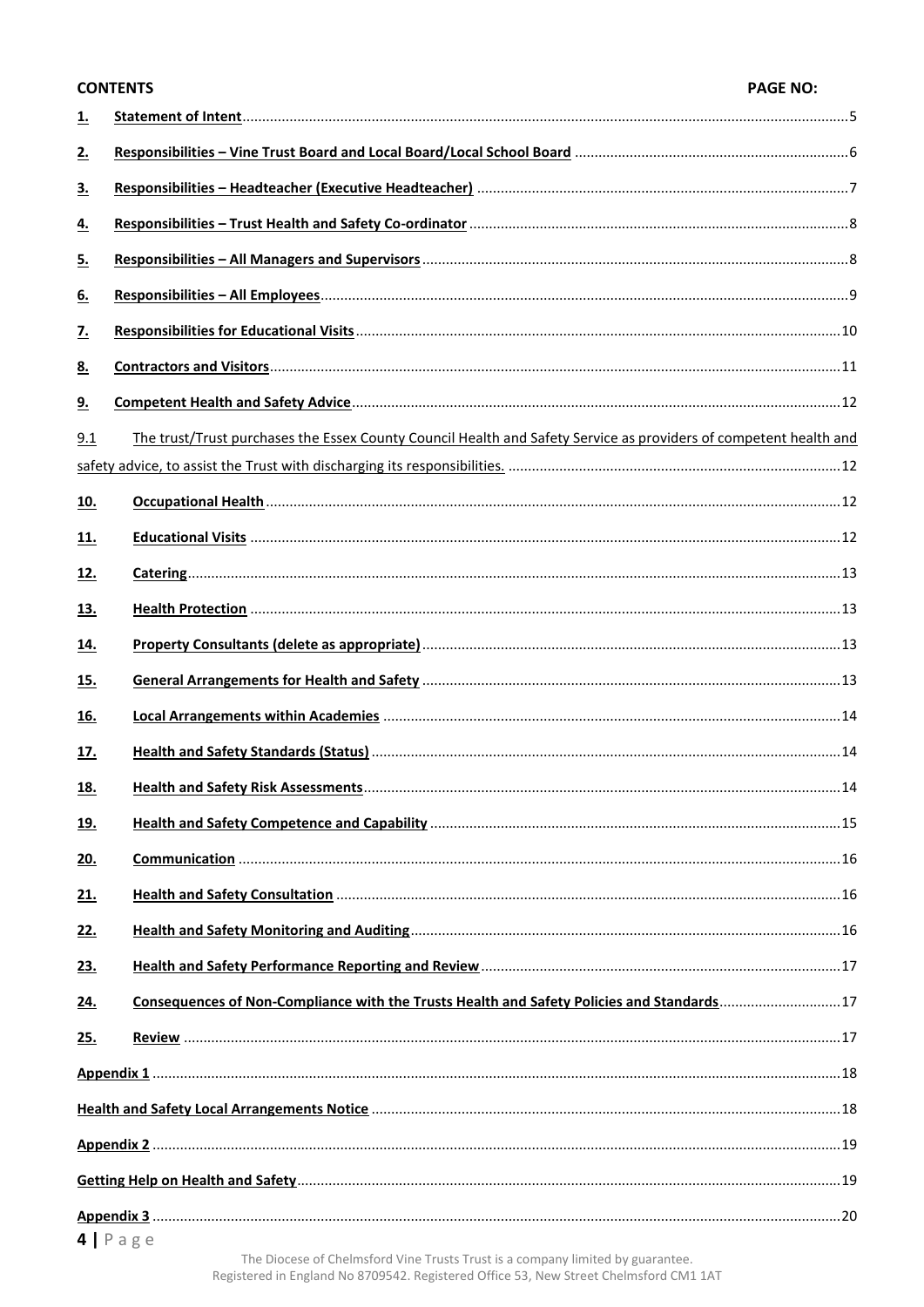|              | <b>CONTENTS</b>                                                                                                   | <b>PAGE NO:</b> |
|--------------|-------------------------------------------------------------------------------------------------------------------|-----------------|
| <u>1.</u>    |                                                                                                                   |                 |
| 2.           |                                                                                                                   |                 |
| <u>3.</u>    |                                                                                                                   |                 |
| <u>4.</u>    |                                                                                                                   |                 |
| 5.           |                                                                                                                   |                 |
| <u>6.</u>    |                                                                                                                   |                 |
| $\mathbf{Z}$ |                                                                                                                   |                 |
| 8.           |                                                                                                                   |                 |
| 9.           |                                                                                                                   |                 |
| 9.1          | The trust/Trust purchases the Essex County Council Health and Safety Service as providers of competent health and |                 |
|              |                                                                                                                   |                 |
| <u>10.</u>   |                                                                                                                   |                 |
| <u>11.</u>   |                                                                                                                   |                 |
| 12.          |                                                                                                                   |                 |
| <u>13.</u>   |                                                                                                                   |                 |
| <u>14.</u>   |                                                                                                                   |                 |
| <u>15.</u>   |                                                                                                                   |                 |
| <u>16.</u>   |                                                                                                                   |                 |
| 17.          |                                                                                                                   |                 |
| <u>18.</u>   |                                                                                                                   |                 |
| <u>19.</u>   |                                                                                                                   |                 |
| <u>20.</u>   |                                                                                                                   |                 |
| 21.          |                                                                                                                   |                 |
| <u>22.</u>   |                                                                                                                   |                 |
| <u>23.</u>   |                                                                                                                   |                 |
| 24.          | Consequences of Non-Compliance with the Trusts Health and Safety Policies and Standards17                         |                 |
| 25.          |                                                                                                                   |                 |
|              |                                                                                                                   |                 |
|              |                                                                                                                   |                 |
|              |                                                                                                                   |                 |
|              |                                                                                                                   |                 |
|              |                                                                                                                   |                 |
|              |                                                                                                                   |                 |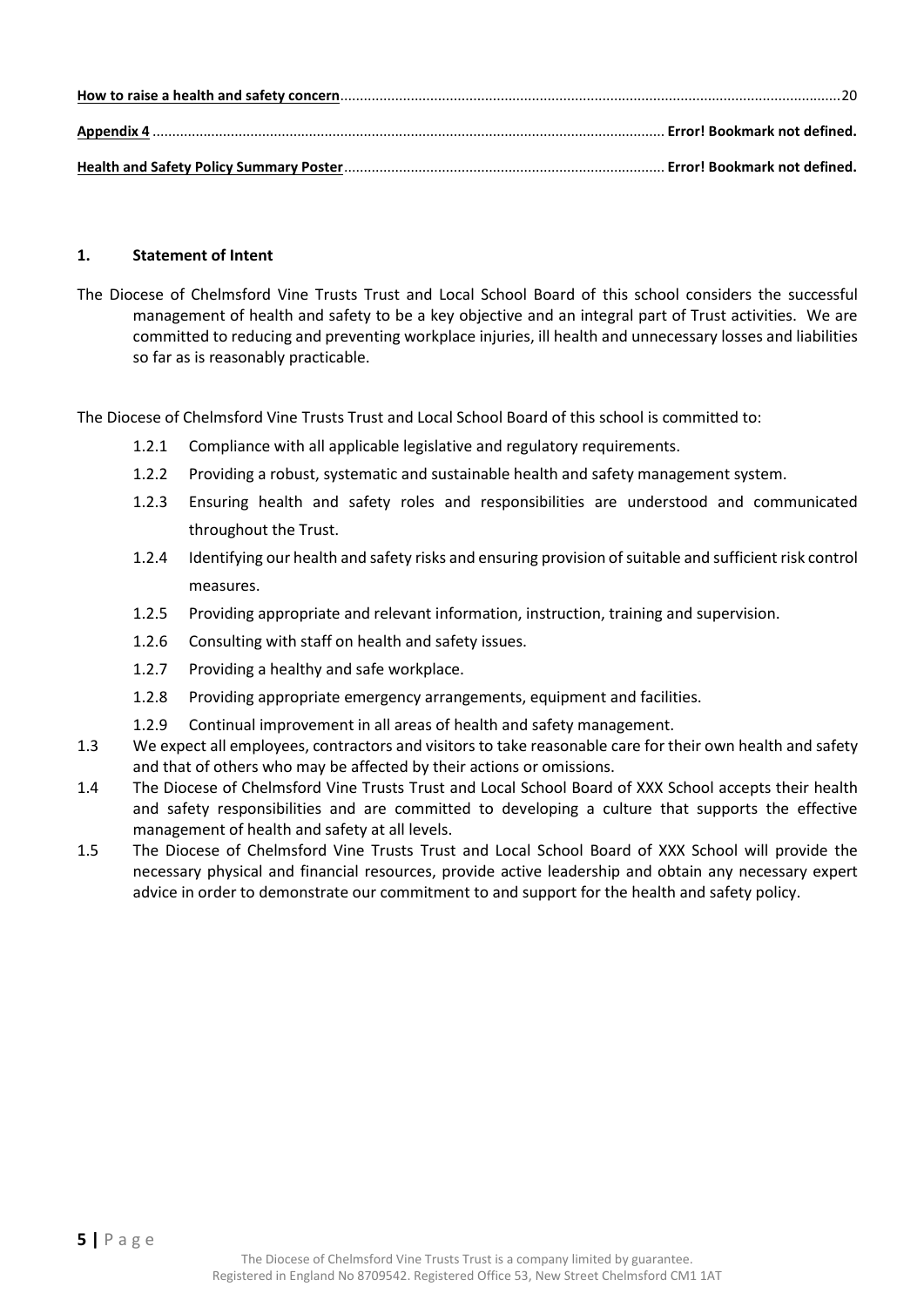#### <span id="page-4-0"></span>**1. Statement of Intent**

The Diocese of Chelmsford Vine Trusts Trust and Local School Board of this school considers the successful management of health and safety to be a key objective and an integral part of Trust activities. We are committed to reducing and preventing workplace injuries, ill health and unnecessary losses and liabilities so far as is reasonably practicable.

The Diocese of Chelmsford Vine Trusts Trust and Local School Board of this school is committed to:

- 1.2.1 Compliance with all applicable legislative and regulatory requirements.
- 1.2.2 Providing a robust, systematic and sustainable health and safety management system.
- 1.2.3 Ensuring health and safety roles and responsibilities are understood and communicated throughout the Trust.
- 1.2.4 Identifying our health and safety risks and ensuring provision of suitable and sufficient risk control measures.
- 1.2.5 Providing appropriate and relevant information, instruction, training and supervision.
- 1.2.6 Consulting with staff on health and safety issues.
- 1.2.7 Providing a healthy and safe workplace.
- 1.2.8 Providing appropriate emergency arrangements, equipment and facilities.
- 1.2.9 Continual improvement in all areas of health and safety management.
- 1.3 We expect all employees, contractors and visitors to take reasonable care for their own health and safety and that of others who may be affected by their actions or omissions.
- 1.4 The Diocese of Chelmsford Vine Trusts Trust and Local School Board of XXX School accepts their health and safety responsibilities and are committed to developing a culture that supports the effective management of health and safety at all levels.
- 1.5 The Diocese of Chelmsford Vine Trusts Trust and Local School Board of XXX School will provide the necessary physical and financial resources, provide active leadership and obtain any necessary expert advice in order to demonstrate our commitment to and support for the health and safety policy.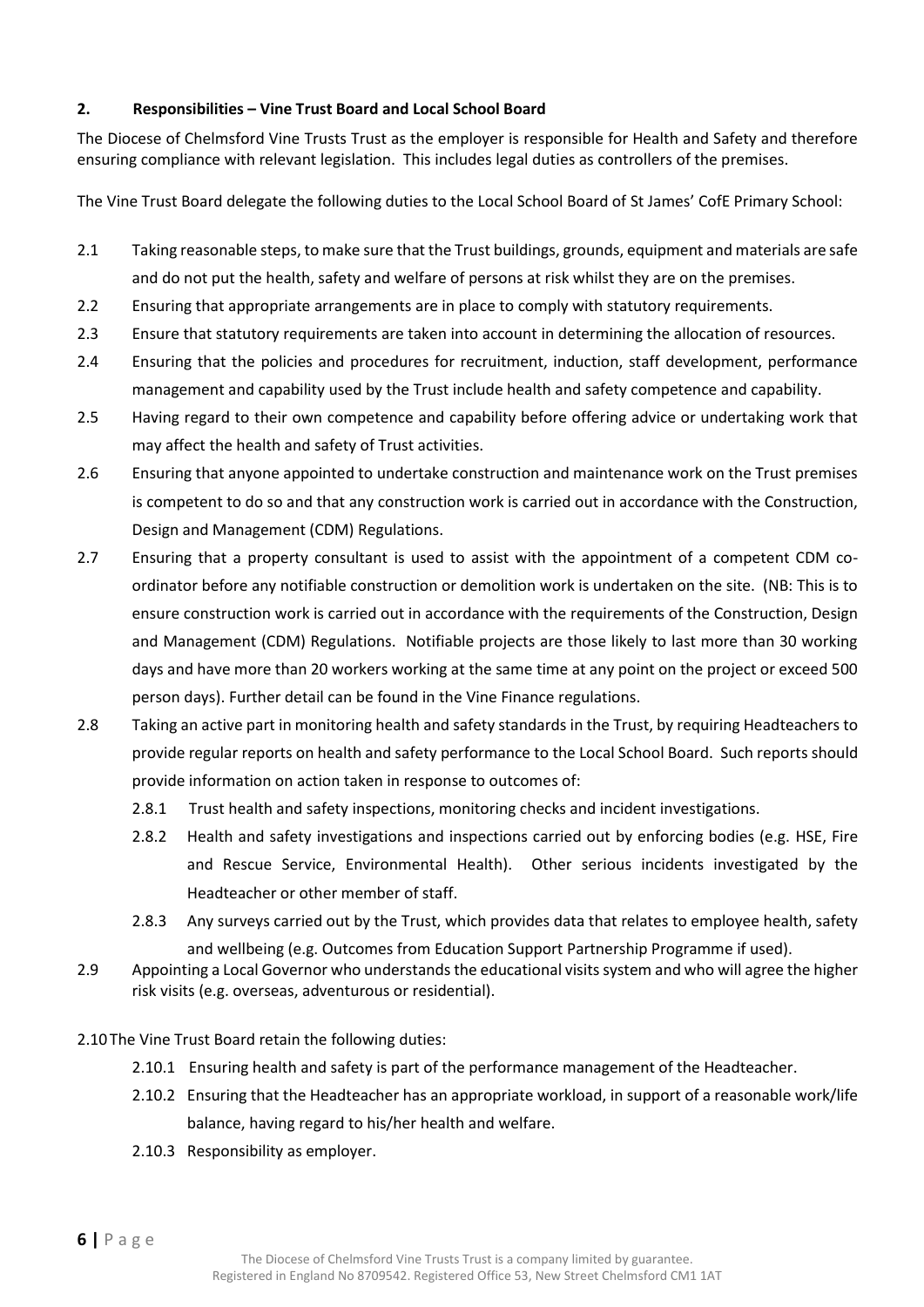#### <span id="page-5-0"></span>**2. Responsibilities – Vine Trust Board and Local School Board**

The Diocese of Chelmsford Vine Trusts Trust as the employer is responsible for Health and Safety and therefore ensuring compliance with relevant legislation. This includes legal duties as controllers of the premises.

The Vine Trust Board delegate the following duties to the Local School Board of St James' CofE Primary School:

- 2.1 Taking reasonable steps, to make sure that the Trust buildings, grounds, equipment and materials are safe and do not put the health, safety and welfare of persons at risk whilst they are on the premises.
- 2.2 Ensuring that appropriate arrangements are in place to comply with statutory requirements.
- 2.3 Ensure that statutory requirements are taken into account in determining the allocation of resources.
- 2.4 Ensuring that the policies and procedures for recruitment, induction, staff development, performance management and capability used by the Trust include health and safety competence and capability.
- 2.5 Having regard to their own competence and capability before offering advice or undertaking work that may affect the health and safety of Trust activities.
- 2.6 Ensuring that anyone appointed to undertake construction and maintenance work on the Trust premises is competent to do so and that any construction work is carried out in accordance with the Construction, Design and Management (CDM) Regulations.
- 2.7 Ensuring that a property consultant is used to assist with the appointment of a competent CDM coordinator before any notifiable construction or demolition work is undertaken on the site. (NB: This is to ensure construction work is carried out in accordance with the requirements of the Construction, Design and Management (CDM) Regulations. Notifiable projects are those likely to last more than 30 working days and have more than 20 workers working at the same time at any point on the project or exceed 500 person days). Further detail can be found in the Vine Finance regulations.
- 2.8 Taking an active part in monitoring health and safety standards in the Trust, by requiring Headteachers to provide regular reports on health and safety performance to the Local School Board. Such reports should provide information on action taken in response to outcomes of:
	- 2.8.1 Trust health and safety inspections, monitoring checks and incident investigations.
	- 2.8.2 Health and safety investigations and inspections carried out by enforcing bodies (e.g. HSE, Fire and Rescue Service, Environmental Health). Other serious incidents investigated by the Headteacher or other member of staff.
	- 2.8.3 Any surveys carried out by the Trust, which provides data that relates to employee health, safety and wellbeing (e.g. Outcomes from Education Support Partnership Programme if used).
- 2.9 Appointing a Local Governor who understands the educational visits system and who will agree the higher risk visits (e.g. overseas, adventurous or residential).
- 2.10 The Vine Trust Board retain the following duties:
	- 2.10.1 Ensuring health and safety is part of the performance management of the Headteacher.
	- 2.10.2 Ensuring that the Headteacher has an appropriate workload, in support of a reasonable work/life balance, having regard to his/her health and welfare.
	- 2.10.3 Responsibility as employer.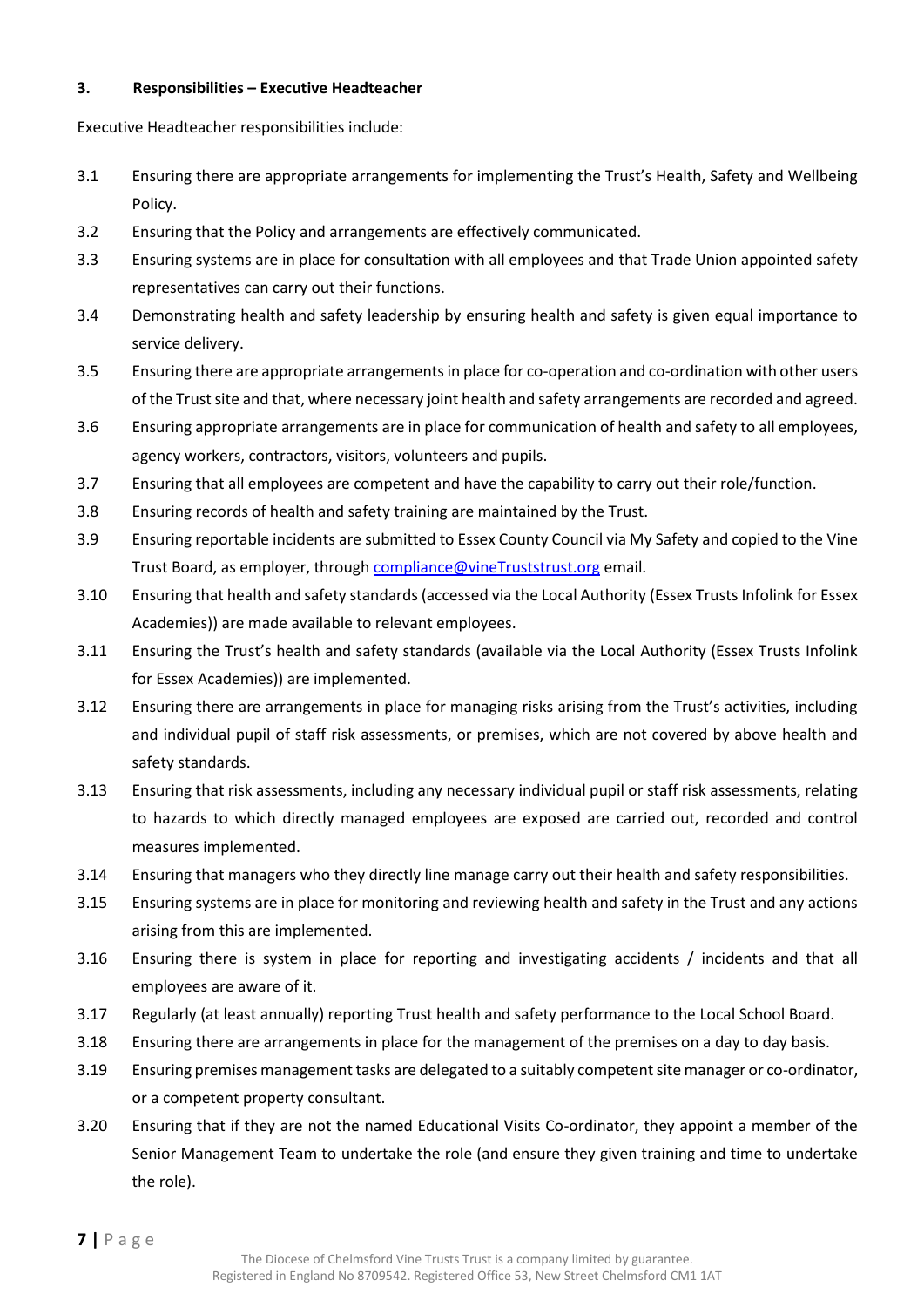#### <span id="page-6-0"></span>**3. Responsibilities – Executive Headteacher**

Executive Headteacher responsibilities include:

- 3.1 Ensuring there are appropriate arrangements for implementing the Trust's Health, Safety and Wellbeing Policy.
- 3.2 Ensuring that the Policy and arrangements are effectively communicated.
- 3.3 Ensuring systems are in place for consultation with all employees and that Trade Union appointed safety representatives can carry out their functions.
- 3.4 Demonstrating health and safety leadership by ensuring health and safety is given equal importance to service delivery.
- 3.5 Ensuring there are appropriate arrangements in place for co-operation and co-ordination with other users of the Trust site and that, where necessary joint health and safety arrangements are recorded and agreed.
- 3.6 Ensuring appropriate arrangements are in place for communication of health and safety to all employees, agency workers, contractors, visitors, volunteers and pupils.
- 3.7 Ensuring that all employees are competent and have the capability to carry out their role/function.
- 3.8 Ensuring records of health and safety training are maintained by the Trust.
- 3.9 Ensuring reportable incidents are submitted to Essex County Council via My Safety and copied to the Vine Trust Board, as employer, throug[h compliance@vineTruststrust.org](mailto:compliance@vineschoolstrust.org) email.
- 3.10 Ensuring that health and safety standards (accessed via the Local Authority (Essex Trusts Infolink for Essex Academies)) are made available to relevant employees.
- 3.11 Ensuring the Trust's health and safety standards (available via the Local Authority (Essex Trusts Infolink for Essex Academies)) are implemented.
- 3.12 Ensuring there are arrangements in place for managing risks arising from the Trust's activities, including and individual pupil of staff risk assessments, or premises, which are not covered by above health and safety standards.
- 3.13 Ensuring that risk assessments, including any necessary individual pupil or staff risk assessments, relating to hazards to which directly managed employees are exposed are carried out, recorded and control measures implemented.
- 3.14 Ensuring that managers who they directly line manage carry out their health and safety responsibilities.
- 3.15 Ensuring systems are in place for monitoring and reviewing health and safety in the Trust and any actions arising from this are implemented.
- 3.16 Ensuring there is system in place for reporting and investigating accidents / incidents and that all employees are aware of it.
- 3.17 Regularly (at least annually) reporting Trust health and safety performance to the Local School Board.
- 3.18 Ensuring there are arrangements in place for the management of the premises on a day to day basis.
- 3.19 Ensuring premises management tasks are delegated to a suitably competent site manager or co-ordinator, or a competent property consultant.
- 3.20 Ensuring that if they are not the named Educational Visits Co-ordinator, they appoint a member of the Senior Management Team to undertake the role (and ensure they given training and time to undertake the role).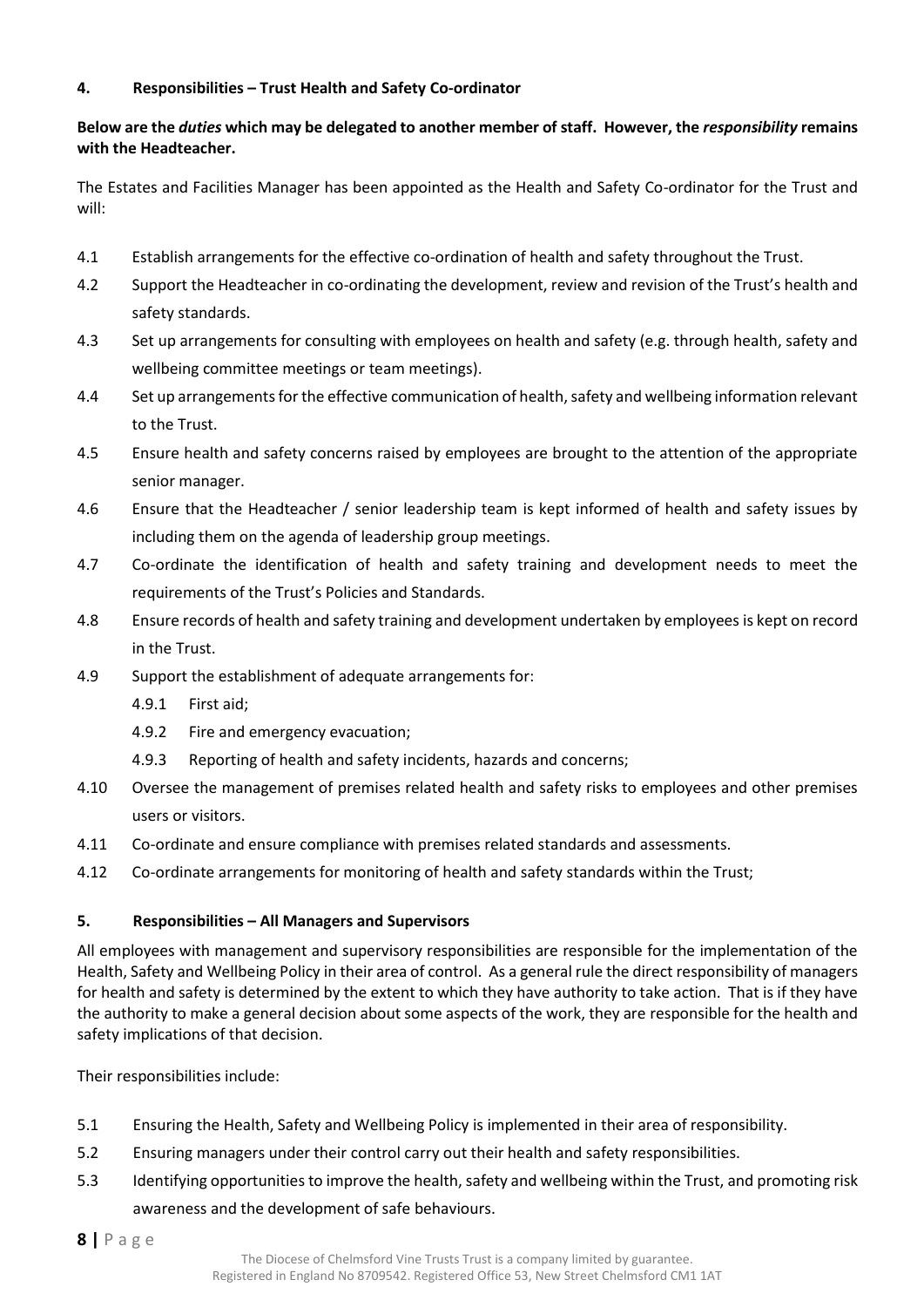#### <span id="page-7-0"></span>**4. Responsibilities – Trust Health and Safety Co-ordinator**

#### **Below are the** *duties* **which may be delegated to another member of staff. However, the** *responsibility* **remains with the Headteacher.**

The Estates and Facilities Manager has been appointed as the Health and Safety Co-ordinator for the Trust and will:

- 4.1 Establish arrangements for the effective co-ordination of health and safety throughout the Trust.
- 4.2 Support the Headteacher in co-ordinating the development, review and revision of the Trust's health and safety standards.
- 4.3 Set up arrangements for consulting with employees on health and safety (e.g. through health, safety and wellbeing committee meetings or team meetings).
- 4.4 Set up arrangements for the effective communication of health, safety and wellbeing information relevant to the Trust.
- 4.5 Ensure health and safety concerns raised by employees are brought to the attention of the appropriate senior manager.
- 4.6 Ensure that the Headteacher / senior leadership team is kept informed of health and safety issues by including them on the agenda of leadership group meetings.
- 4.7 Co-ordinate the identification of health and safety training and development needs to meet the requirements of the Trust's Policies and Standards.
- 4.8 Ensure records of health and safety training and development undertaken by employees is kept on record in the Trust.
- 4.9 Support the establishment of adequate arrangements for:
	- 4.9.1 First aid;
	- 4.9.2 Fire and emergency evacuation;
	- 4.9.3 Reporting of health and safety incidents, hazards and concerns;
- 4.10 Oversee the management of premises related health and safety risks to employees and other premises users or visitors.
- 4.11 Co-ordinate and ensure compliance with premises related standards and assessments.
- 4.12 Co-ordinate arrangements for monitoring of health and safety standards within the Trust;

#### <span id="page-7-1"></span>**5. Responsibilities – All Managers and Supervisors**

All employees with management and supervisory responsibilities are responsible for the implementation of the Health, Safety and Wellbeing Policy in their area of control. As a general rule the direct responsibility of managers for health and safety is determined by the extent to which they have authority to take action. That is if they have the authority to make a general decision about some aspects of the work, they are responsible for the health and safety implications of that decision.

Their responsibilities include:

- 5.1 Ensuring the Health, Safety and Wellbeing Policy is implemented in their area of responsibility.
- 5.2 Ensuring managers under their control carry out their health and safety responsibilities.
- 5.3 Identifying opportunities to improve the health, safety and wellbeing within the Trust, and promoting risk awareness and the development of safe behaviours.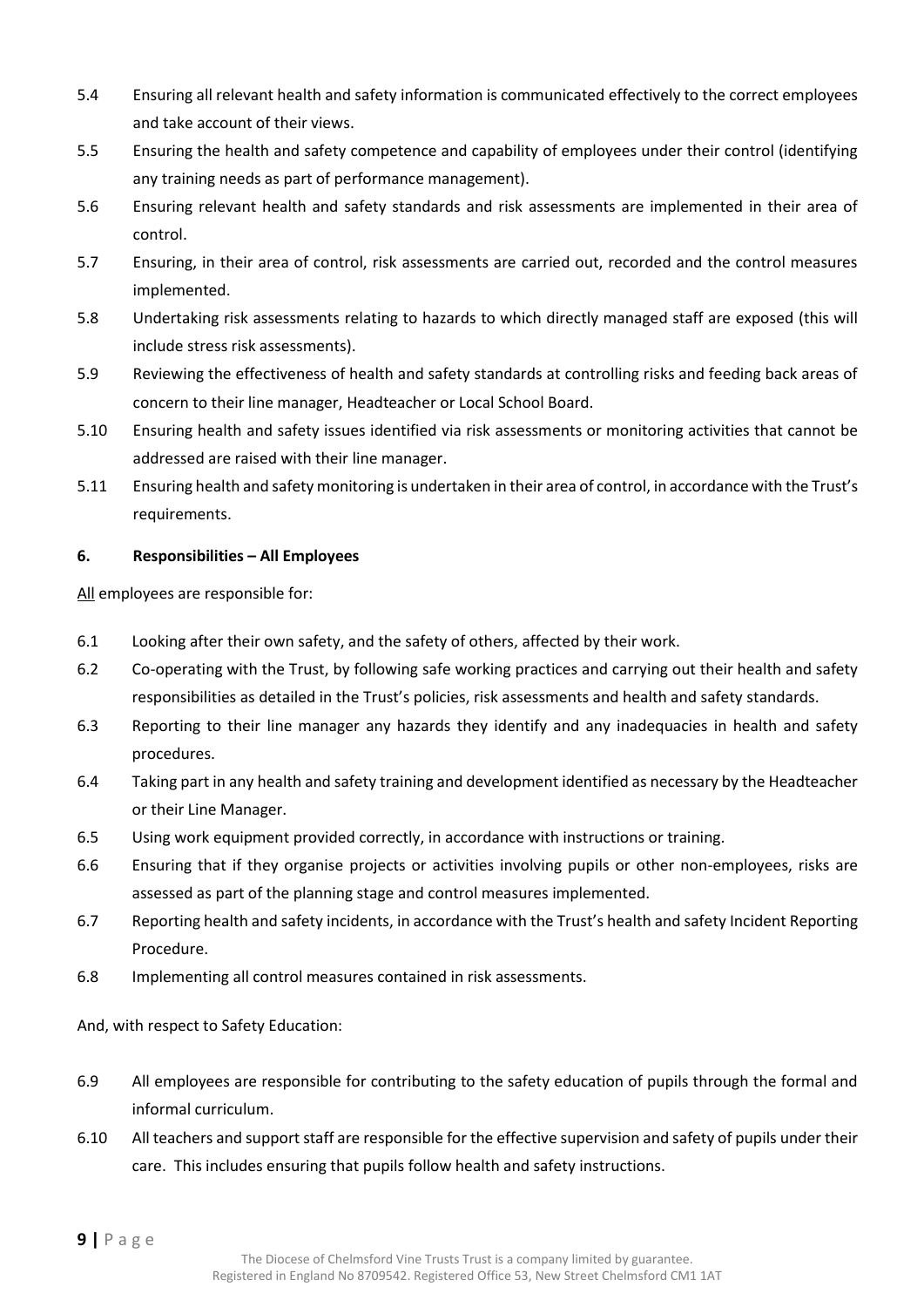- 5.4 Ensuring all relevant health and safety information is communicated effectively to the correct employees and take account of their views.
- 5.5 Ensuring the health and safety competence and capability of employees under their control (identifying any training needs as part of performance management).
- 5.6 Ensuring relevant health and safety standards and risk assessments are implemented in their area of control.
- 5.7 Ensuring, in their area of control, risk assessments are carried out, recorded and the control measures implemented.
- 5.8 Undertaking risk assessments relating to hazards to which directly managed staff are exposed (this will include stress risk assessments).
- 5.9 Reviewing the effectiveness of health and safety standards at controlling risks and feeding back areas of concern to their line manager, Headteacher or Local School Board.
- 5.10 Ensuring health and safety issues identified via risk assessments or monitoring activities that cannot be addressed are raised with their line manager.
- 5.11 Ensuring health and safety monitoring is undertaken in their area of control, in accordance with the Trust's requirements.

#### <span id="page-8-0"></span>**6. Responsibilities – All Employees**

All employees are responsible for:

- 6.1 Looking after their own safety, and the safety of others, affected by their work.
- 6.2 Co-operating with the Trust, by following safe working practices and carrying out their health and safety responsibilities as detailed in the Trust's policies, risk assessments and health and safety standards.
- 6.3 Reporting to their line manager any hazards they identify and any inadequacies in health and safety procedures.
- 6.4 Taking part in any health and safety training and development identified as necessary by the Headteacher or their Line Manager.
- 6.5 Using work equipment provided correctly, in accordance with instructions or training.
- 6.6 Ensuring that if they organise projects or activities involving pupils or other non-employees, risks are assessed as part of the planning stage and control measures implemented.
- 6.7 Reporting health and safety incidents, in accordance with the Trust's health and safety Incident Reporting Procedure.
- 6.8 Implementing all control measures contained in risk assessments.

And, with respect to Safety Education:

- 6.9 All employees are responsible for contributing to the safety education of pupils through the formal and informal curriculum.
- 6.10 All teachers and support staff are responsible for the effective supervision and safety of pupils under their care. This includes ensuring that pupils follow health and safety instructions.

**9 |** P a g e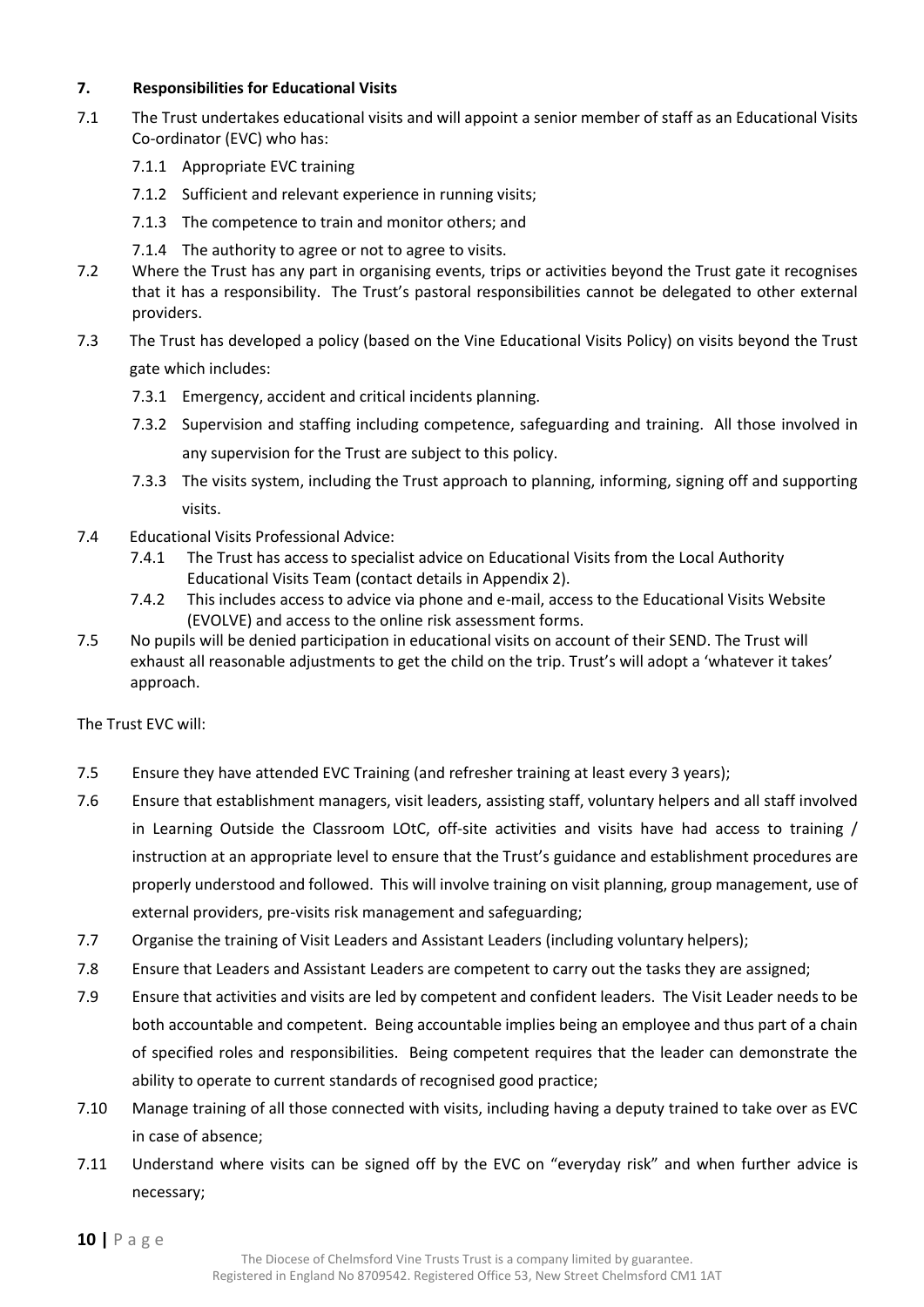#### <span id="page-9-0"></span>**7. Responsibilities for Educational Visits**

- 7.1 The Trust undertakes educational visits and will appoint a senior member of staff as an Educational Visits Co-ordinator (EVC) who has:
	- 7.1.1 Appropriate EVC training
	- 7.1.2 Sufficient and relevant experience in running visits;
	- 7.1.3 The competence to train and monitor others; and
	- 7.1.4 The authority to agree or not to agree to visits.
- 7.2 Where the Trust has any part in organising events, trips or activities beyond the Trust gate it recognises that it has a responsibility. The Trust's pastoral responsibilities cannot be delegated to other external providers.
- 7.3 The Trust has developed a policy (based on the Vine Educational Visits Policy) on visits beyond the Trust gate which includes:
	- 7.3.1 Emergency, accident and critical incidents planning.
	- 7.3.2 Supervision and staffing including competence, safeguarding and training. All those involved in any supervision for the Trust are subject to this policy.
	- 7.3.3 The visits system, including the Trust approach to planning, informing, signing off and supporting visits.
- 7.4 Educational Visits Professional Advice:
	- 7.4.1 The Trust has access to specialist advice on Educational Visits from the Local Authority Educational Visits Team (contact details in Appendix 2).
	- 7.4.2 This includes access to advice via phone and e-mail, access to the Educational Visits Website (EVOLVE) and access to the online risk assessment forms.
- 7.5 No pupils will be denied participation in educational visits on account of their SEND. The Trust will exhaust all reasonable adjustments to get the child on the trip. Trust's will adopt a 'whatever it takes' approach.

The Trust EVC will:

- 7.5 Ensure they have attended EVC Training (and refresher training at least every 3 years);
- 7.6 Ensure that establishment managers, visit leaders, assisting staff, voluntary helpers and all staff involved in Learning Outside the Classroom LOtC, off-site activities and visits have had access to training / instruction at an appropriate level to ensure that the Trust's guidance and establishment procedures are properly understood and followed. This will involve training on visit planning, group management, use of external providers, pre-visits risk management and safeguarding;
- 7.7 Organise the training of Visit Leaders and Assistant Leaders (including voluntary helpers);
- 7.8 Ensure that Leaders and Assistant Leaders are competent to carry out the tasks they are assigned;
- 7.9 Ensure that activities and visits are led by competent and confident leaders. The Visit Leader needs to be both accountable and competent. Being accountable implies being an employee and thus part of a chain of specified roles and responsibilities. Being competent requires that the leader can demonstrate the ability to operate to current standards of recognised good practice;
- 7.10 Manage training of all those connected with visits, including having a deputy trained to take over as EVC in case of absence;
- 7.11 Understand where visits can be signed off by the EVC on "everyday risk" and when further advice is necessary;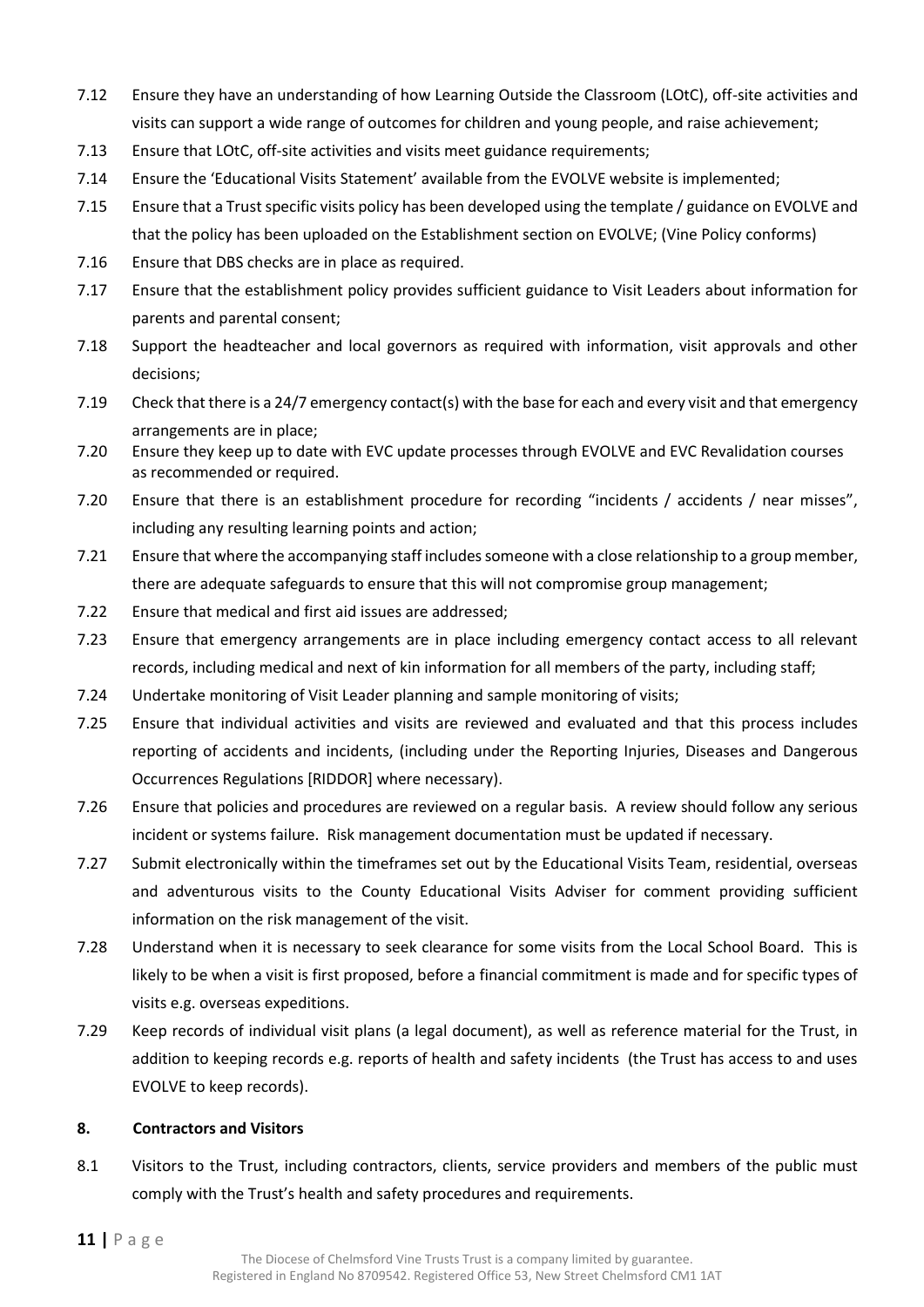- 7.12 Ensure they have an understanding of how Learning Outside the Classroom (LOtC), off-site activities and visits can support a wide range of outcomes for children and young people, and raise achievement;
- 7.13 Ensure that LOtC, off-site activities and visits meet guidance requirements;
- 7.14 Ensure the 'Educational Visits Statement' available from the EVOLVE website is implemented;
- 7.15 Ensure that a Trust specific visits policy has been developed using the template / guidance on EVOLVE and that the policy has been uploaded on the Establishment section on EVOLVE; (Vine Policy conforms)
- 7.16 Ensure that DBS checks are in place as required.
- 7.17 Ensure that the establishment policy provides sufficient guidance to Visit Leaders about information for parents and parental consent;
- 7.18 Support the headteacher and local governors as required with information, visit approvals and other decisions;
- 7.19 Check that there is a 24/7 emergency contact(s) with the base for each and every visit and that emergency arrangements are in place;
- 7.20 Ensure they keep up to date with EVC update processes through EVOLVE and EVC Revalidation courses as recommended or required.
- 7.20 Ensure that there is an establishment procedure for recording "incidents / accidents / near misses", including any resulting learning points and action;
- 7.21 Ensure that where the accompanying staff includes someone with a close relationship to a group member, there are adequate safeguards to ensure that this will not compromise group management;
- 7.22 Ensure that medical and first aid issues are addressed;
- 7.23 Ensure that emergency arrangements are in place including emergency contact access to all relevant records, including medical and next of kin information for all members of the party, including staff;
- 7.24 Undertake monitoring of Visit Leader planning and sample monitoring of visits;
- 7.25 Ensure that individual activities and visits are reviewed and evaluated and that this process includes reporting of accidents and incidents, (including under the Reporting Injuries, Diseases and Dangerous Occurrences Regulations [RIDDOR] where necessary).
- 7.26 Ensure that policies and procedures are reviewed on a regular basis. A review should follow any serious incident or systems failure. Risk management documentation must be updated if necessary.
- 7.27 Submit electronically within the timeframes set out by the Educational Visits Team, residential, overseas and adventurous visits to the County Educational Visits Adviser for comment providing sufficient information on the risk management of the visit.
- 7.28 Understand when it is necessary to seek clearance for some visits from the Local School Board. This is likely to be when a visit is first proposed, before a financial commitment is made and for specific types of visits e.g. overseas expeditions.
- 7.29 Keep records of individual visit plans (a legal document), as well as reference material for the Trust, in addition to keeping records e.g. reports of health and safety incidents (the Trust has access to and uses EVOLVE to keep records).

#### <span id="page-10-0"></span>**8. Contractors and Visitors**

8.1 Visitors to the Trust, including contractors, clients, service providers and members of the public must comply with the Trust's health and safety procedures and requirements.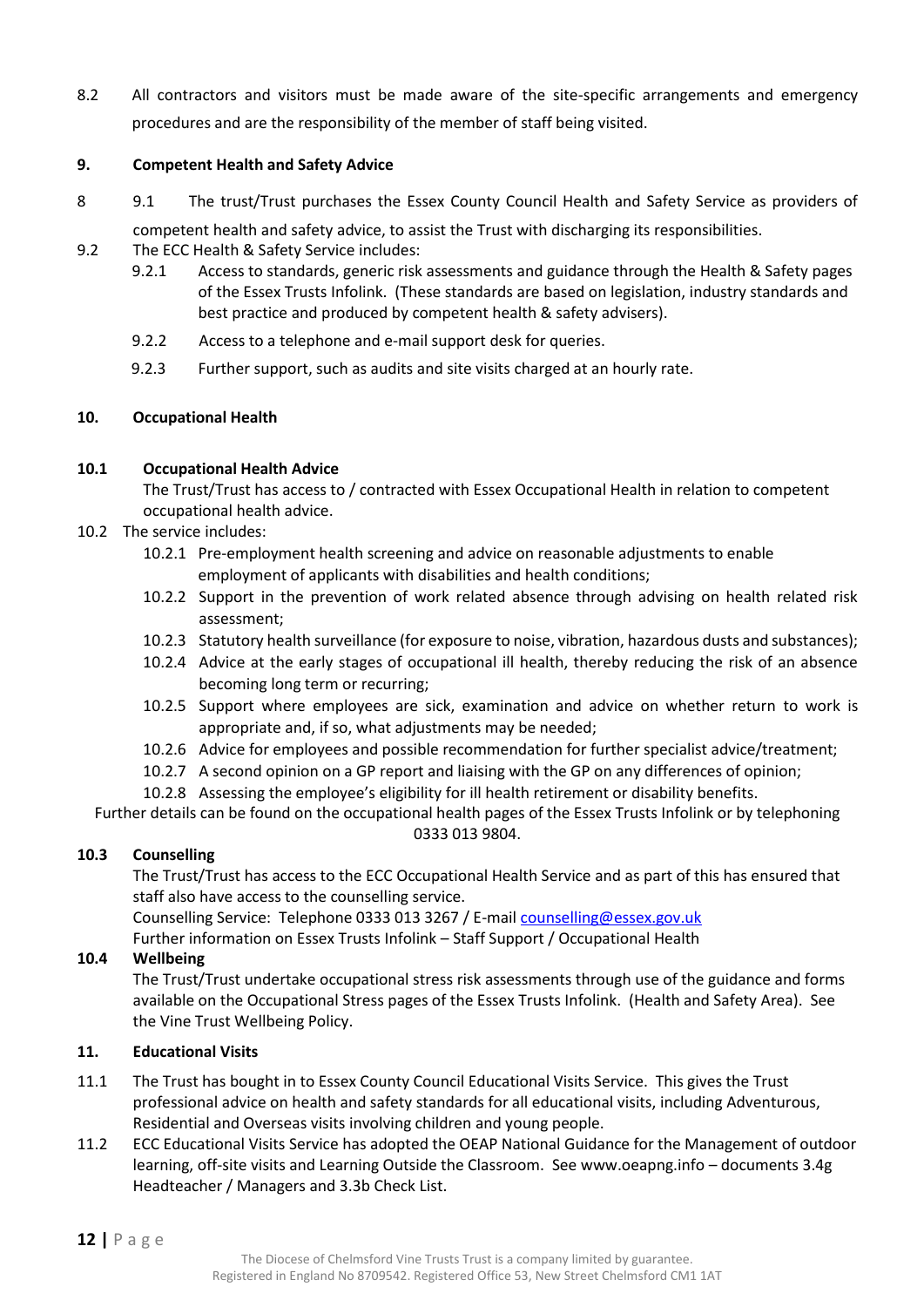8.2 All contractors and visitors must be made aware of the site-specific arrangements and emergency procedures and are the responsibility of the member of staff being visited.

#### <span id="page-11-0"></span>**9. Competent Health and Safety Advice**

- <span id="page-11-1"></span>8 9.1 The trust/Trust purchases the Essex County Council Health and Safety Service as providers of competent health and safety advice, to assist the Trust with discharging its responsibilities.
- 9.2 The ECC Health & Safety Service includes:
	- 9.2.1 Access to standards, generic risk assessments and guidance through the Health & Safety pages of the Essex Trusts Infolink. (These standards are based on legislation, industry standards and best practice and produced by competent health & safety advisers).
	- 9.2.2 Access to a telephone and e-mail support desk for queries.
	- 9.2.3 Further support, such as audits and site visits charged at an hourly rate.

#### <span id="page-11-2"></span>**10. Occupational Health**

#### **10.1 Occupational Health Advice**

The Trust/Trust has access to / contracted with Essex Occupational Health in relation to competent occupational health advice.

- 10.2 The service includes:
	- 10.2.1 Pre-employment health screening and advice on reasonable adjustments to enable employment of applicants with disabilities and health conditions;
	- 10.2.2 Support in the prevention of work related absence through advising on health related risk assessment;
	- 10.2.3 Statutory health surveillance (for exposure to noise, vibration, hazardous dusts and substances);
	- 10.2.4 Advice at the early stages of occupational ill health, thereby reducing the risk of an absence becoming long term or recurring;
	- 10.2.5 Support where employees are sick, examination and advice on whether return to work is appropriate and, if so, what adjustments may be needed;
	- 10.2.6 Advice for employees and possible recommendation for further specialist advice/treatment;
	- 10.2.7 A second opinion on a GP report and liaising with the GP on any differences of opinion;
	- 10.2.8 Assessing the employee's eligibility for ill health retirement or disability benefits.

Further details can be found on the occupational health pages of the Essex Trusts Infolink or by telephoning 0333 013 9804.

#### **10.3 Counselling**

The Trust/Trust has access to the ECC Occupational Health Service and as part of this has ensured that staff also have access to the counselling service.

Counselling Service: Telephone 0333 013 3267 / E-mail [counselling@essex.gov.uk](mailto:counselling@essex.gov.uk)

Further information on Essex Trusts Infolink – Staff Support / Occupational Health

#### **10.4 Wellbeing**

The Trust/Trust undertake occupational stress risk assessments through use of the guidance and forms available on the Occupational Stress pages of the Essex Trusts Infolink. (Health and Safety Area). See the Vine Trust Wellbeing Policy.

#### <span id="page-11-3"></span>**11. Educational Visits**

- 11.1 The Trust has bought in to Essex County Council Educational Visits Service. This gives the Trust professional advice on health and safety standards for all educational visits, including Adventurous, Residential and Overseas visits involving children and young people.
- 11.2 ECC Educational Visits Service has adopted the OEAP National Guidance for the Management of outdoor learning, off-site visits and Learning Outside the Classroom. See [www.oeapng.info](http://www.oeapng.info/) – documents 3.4g Headteacher / Managers and 3.3b Check List.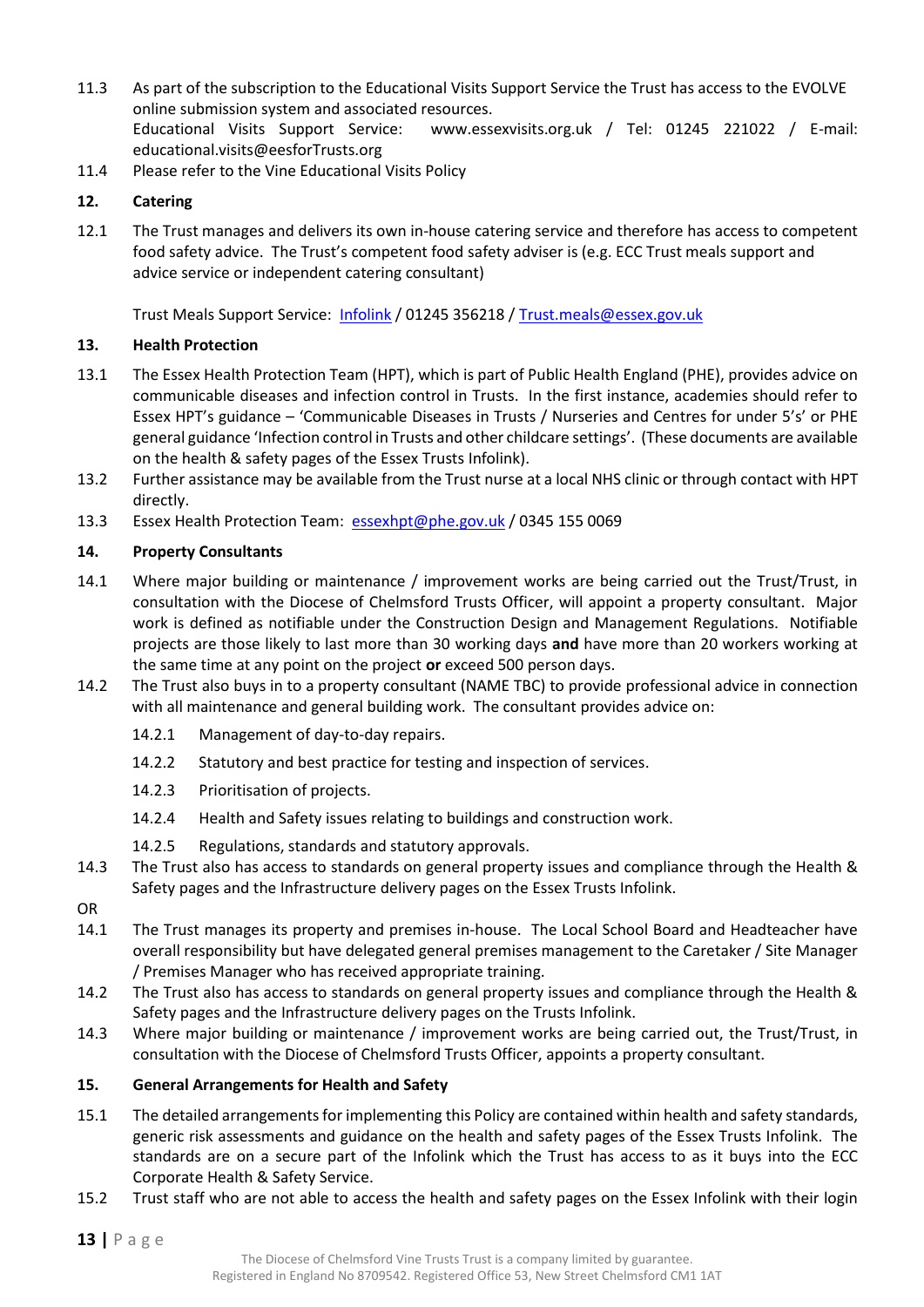- 11.3 As part of the subscription to the Educational Visits Support Service the Trust has access to the [EVOLVE](https://evolve.edufocus.co.uk/evco10/evchome_public.asp?domain=essexvisits.org.uk) online submission system and associated resources. Educational Visits Support Service: [www.essexvisits.org.uk](http://www.essexvisits.org.uk/) / Tel: 01245 221022 / E-mail: [educational.visits@eesforTrusts.org](mailto:educational.visits@eesforschools.org)
- 11.4 Please refer to the Vine Educational Visits Policy

#### <span id="page-12-0"></span>**12. Catering**

12.1 The Trust manages and delivers its own in-house catering service and therefore has access to competent food safety advice. The Trust's competent food safety adviser is (e.g. ECC Trust meals support and advice service or independent catering consultant)

Trust Meals Support Service: [Infolink](https://schools-secure.essex.gov.uk/admin/SchoolMeals/Pages/SchoolMeals.aspx) / 01245 356218 / [Trust.meals@essex.gov.uk](mailto:school.meals@essex.gov.uk)

#### <span id="page-12-1"></span>**13. Health Protection**

- 13.1 The Essex Health Protection Team (HPT), which is part of Public Health England (PHE), provides advice on communicable diseases and infection control in Trusts. In the first instance, academies should refer to Essex HPT's guidance – 'Communicable Diseases in Trusts / Nurseries and Centres for under 5's' or PHE general guidance 'Infection control in Trusts and other childcare settings'. (These documents are available on the health & safety pages of the Essex Trusts Infolink).
- 13.2 Further assistance may be available from the Trust nurse at a local NHS clinic or through contact with HPT directly.
- 13.3 Essex Health Protection Team: [essexhpt@phe.gov.uk](mailto:essexhpt@phe.gov.uk) / 0345 155 0069

#### <span id="page-12-2"></span>**14. Property Consultants**

- 14.1 Where major building or maintenance / improvement works are being carried out the Trust/Trust, in consultation with the Diocese of Chelmsford Trusts Officer, will appoint a property consultant. Major work is defined as notifiable under the Construction Design and Management Regulations. Notifiable projects are those likely to last more than 30 working days **and** have more than 20 workers working at the same time at any point on the project **or** exceed 500 person days.
- 14.2 The Trust also buys in to a property consultant (NAME TBC) to provide professional advice in connection with all maintenance and general building work. The consultant provides advice on:
	- 14.2.1 Management of day-to-day repairs.
	- 14.2.2 Statutory and best practice for testing and inspection of services.
	- 14.2.3 Prioritisation of projects.
	- 14.2.4 Health and Safety issues relating to buildings and construction work.
	- 14.2.5 Regulations, standards and statutory approvals.
- 14.3 The Trust also has access to standards on general property issues and compliance through the Health & Safety pages and the Infrastructure delivery pages on the Essex Trusts Infolink.
- OR
- 14.1 The Trust manages its property and premises in-house. The Local School Board and Headteacher have overall responsibility but have delegated general premises management to the Caretaker / Site Manager / Premises Manager who has received appropriate training.
- 14.2 The Trust also has access to standards on general property issues and compliance through the Health & Safety pages and the Infrastructure delivery pages on the Trusts Infolink.
- 14.3 Where major building or maintenance / improvement works are being carried out, the Trust/Trust, in consultation with the Diocese of Chelmsford Trusts Officer, appoints a property consultant.

#### <span id="page-12-3"></span>**15. General Arrangements for Health and Safety**

- 15.1 The detailed arrangements for implementing this Policy are contained within health and safety standards, generic risk assessments and guidance on the health and safety pages of the Essex Trusts Infolink. The standards are on a secure part of the Infolink which the Trust has access to as it buys into the ECC Corporate Health & Safety Service.
- 15.2 Trust staff who are not able to access the health and safety pages on the Essex Infolink with their login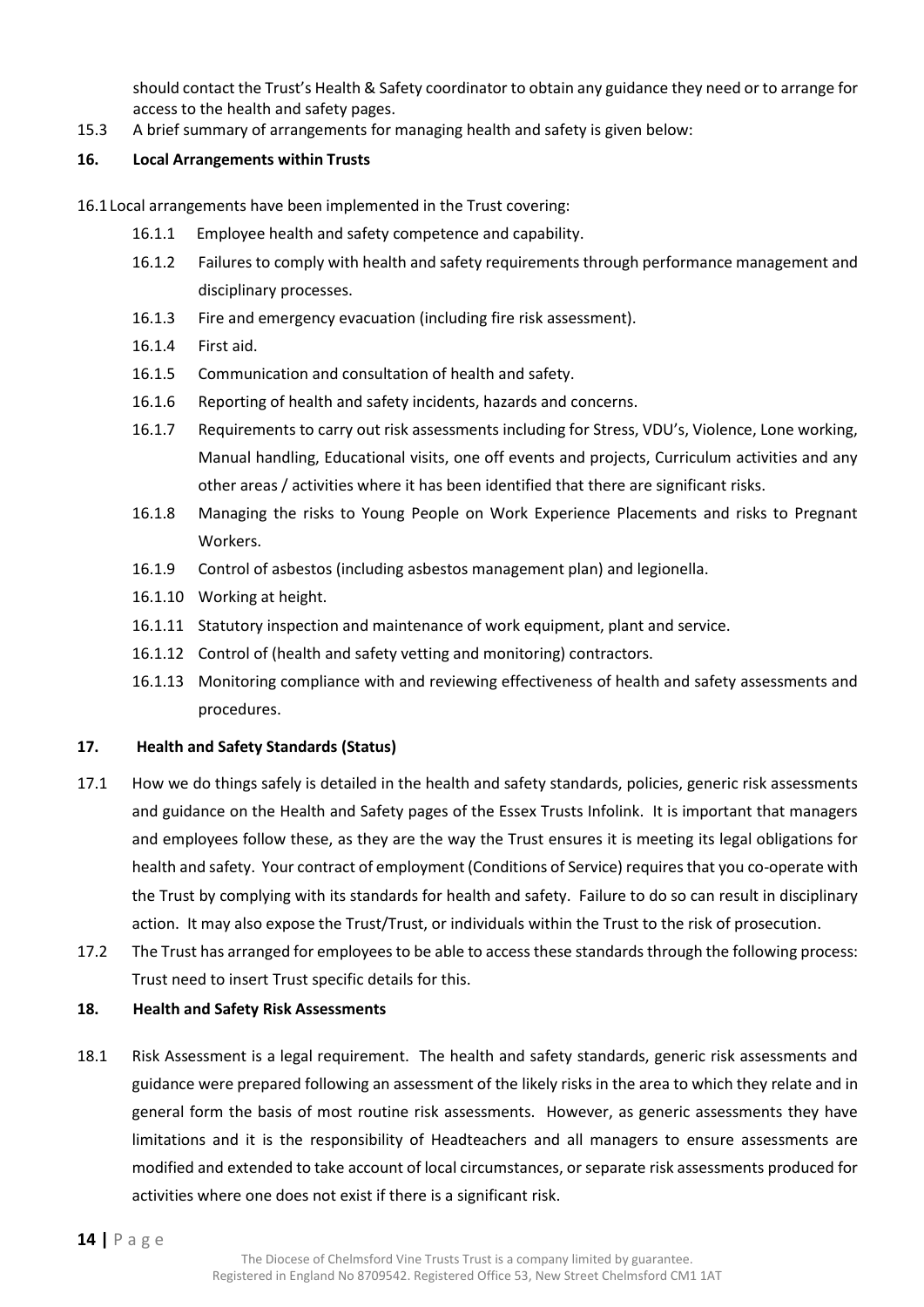should contact the Trust's Health & Safety coordinator to obtain any guidance they need or to arrange for access to the health and safety pages.

15.3 A brief summary of arrangements for managing health and safety is given below:

#### <span id="page-13-0"></span>**16. Local Arrangements within Trusts**

16.1Local arrangements have been implemented in the Trust covering:

- 16.1.1 Employee health and safety competence and capability.
- 16.1.2 Failures to comply with health and safety requirements through performance management and disciplinary processes.
- 16.1.3 Fire and emergency evacuation (including fire risk assessment).
- 16.1.4 First aid.
- 16.1.5 Communication and consultation of health and safety.
- 16.1.6 Reporting of health and safety incidents, hazards and concerns.
- 16.1.7 Requirements to carry out risk assessments including for Stress, VDU's, Violence, Lone working, Manual handling, Educational visits, one off events and projects, Curriculum activities and any other areas / activities where it has been identified that there are significant risks.
- 16.1.8 Managing the risks to Young People on Work Experience Placements and risks to Pregnant Workers.
- 16.1.9 Control of asbestos (including asbestos management plan) and legionella.
- 16.1.10 Working at height.
- 16.1.11 Statutory inspection and maintenance of work equipment, plant and service.
- 16.1.12 Control of (health and safety vetting and monitoring) contractors.
- 16.1.13 Monitoring compliance with and reviewing effectiveness of health and safety assessments and procedures.

#### <span id="page-13-1"></span>**17. Health and Safety Standards (Status)**

- 17.1 How we do things safely is detailed in the health and safety standards, policies, generic risk assessments and guidance on the Health and Safety pages of the Essex Trusts Infolink. It is important that managers and employees follow these, as they are the way the Trust ensures it is meeting its legal obligations for health and safety. Your contract of employment (Conditions of Service) requires that you co-operate with the Trust by complying with its standards for health and safety. Failure to do so can result in disciplinary action. It may also expose the Trust/Trust, or individuals within the Trust to the risk of prosecution.
- 17.2 The Trust has arranged for employees to be able to access these standards through the following process: Trust need to insert Trust specific details for this.

#### <span id="page-13-2"></span>**18. Health and Safety Risk Assessments**

18.1 Risk Assessment is a legal requirement. The health and safety standards, generic risk assessments and guidance were prepared following an assessment of the likely risks in the area to which they relate and in general form the basis of most routine risk assessments. However, as generic assessments they have limitations and it is the responsibility of Headteachers and all managers to ensure assessments are modified and extended to take account of local circumstances, or separate risk assessments produced for activities where one does not exist if there is a significant risk.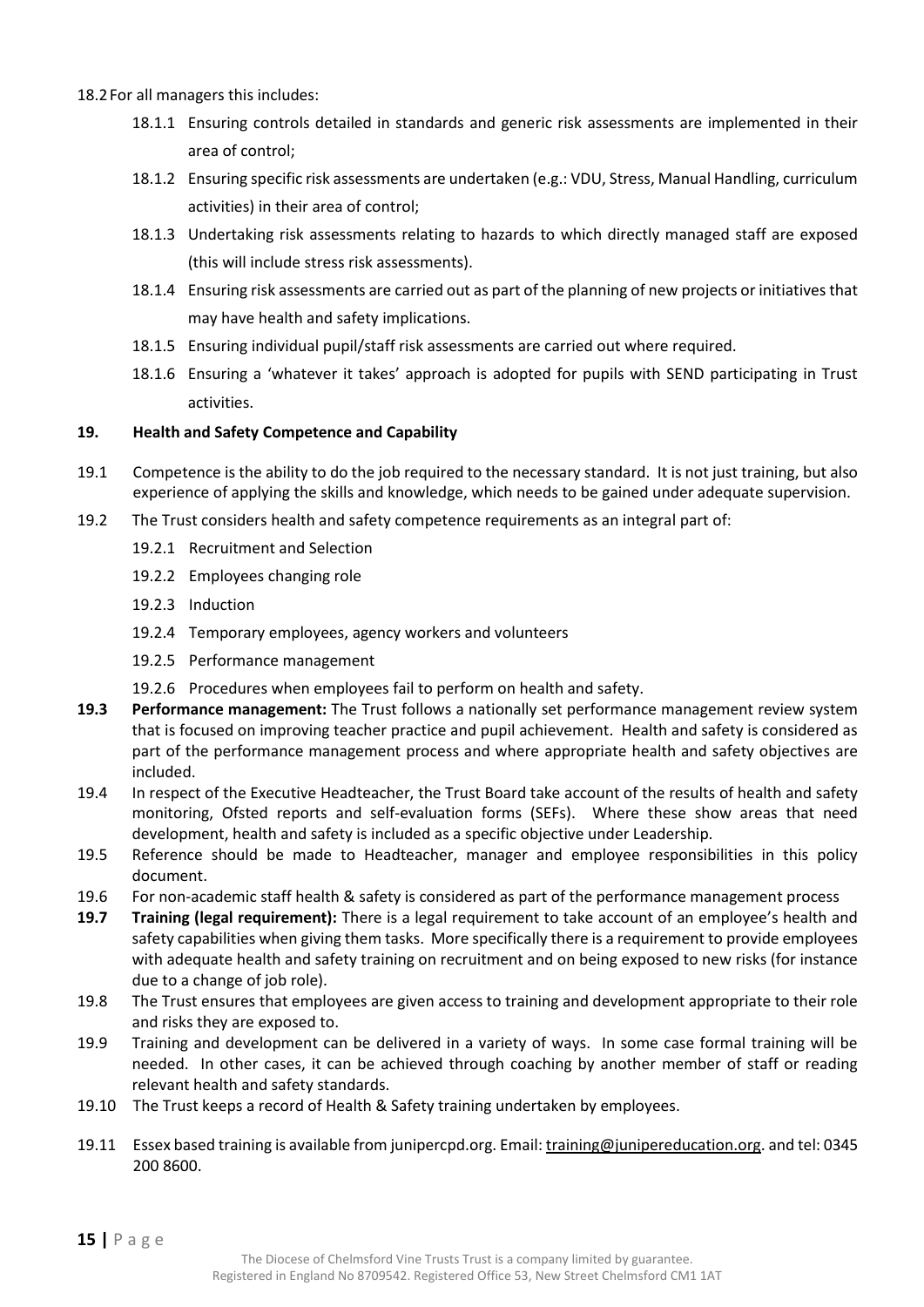18.2For all managers this includes:

- 18.1.1 Ensuring controls detailed in standards and generic risk assessments are implemented in their area of control;
- 18.1.2 Ensuring specific risk assessments are undertaken (e.g.: VDU, Stress, Manual Handling, curriculum activities) in their area of control;
- 18.1.3 Undertaking risk assessments relating to hazards to which directly managed staff are exposed (this will include stress risk assessments).
- 18.1.4 Ensuring risk assessments are carried out as part of the planning of new projects or initiatives that may have health and safety implications.
- 18.1.5 Ensuring individual pupil/staff risk assessments are carried out where required.
- 18.1.6 Ensuring a 'whatever it takes' approach is adopted for pupils with SEND participating in Trust activities.

#### <span id="page-14-0"></span>**19. Health and Safety Competence and Capability**

- 19.1 Competence is the ability to do the job required to the necessary standard. It is not just training, but also experience of applying the skills and knowledge, which needs to be gained under adequate supervision.
- 19.2 The Trust considers health and safety competence requirements as an integral part of:
	- 19.2.1 Recruitment and Selection
	- 19.2.2 Employees changing role
	- 19.2.3 Induction
	- 19.2.4 Temporary employees, agency workers and volunteers
	- 19.2.5 Performance management
	- 19.2.6 Procedures when employees fail to perform on health and safety.
- **19.3 Performance management:** The Trust follows a nationally set performance management review system that is focused on improving teacher practice and pupil achievement. Health and safety is considered as part of the performance management process and where appropriate health and safety objectives are included.
- 19.4 In respect of the Executive Headteacher, the Trust Board take account of the results of health and safety monitoring, Ofsted reports and self-evaluation forms (SEFs). Where these show areas that need development, health and safety is included as a specific objective under Leadership.
- 19.5 Reference should be made to Headteacher, manager and employee responsibilities in this policy document.
- 19.6 For non-academic staff health & safety is considered as part of the performance management process
- **19.7 Training (legal requirement):** There is a legal requirement to take account of an employee's health and safety capabilities when giving them tasks. More specifically there is a requirement to provide employees with adequate health and safety training on recruitment and on being exposed to new risks (for instance due to a change of job role).
- 19.8 The Trust ensures that employees are given access to training and development appropriate to their role and risks they are exposed to.
- 19.9 Training and development can be delivered in a variety of ways. In some case formal training will be needed. In other cases, it can be achieved through coaching by another member of staff or reading relevant health and safety standards.
- 19.10 The Trust keeps a record of Health & Safety training undertaken by employees.
- 19.11 Essex based training is available from junipercpd.org. Email[: training@junipereducation.org.](mailto:training@junipereducation.org) and tel: 0345 200 8600.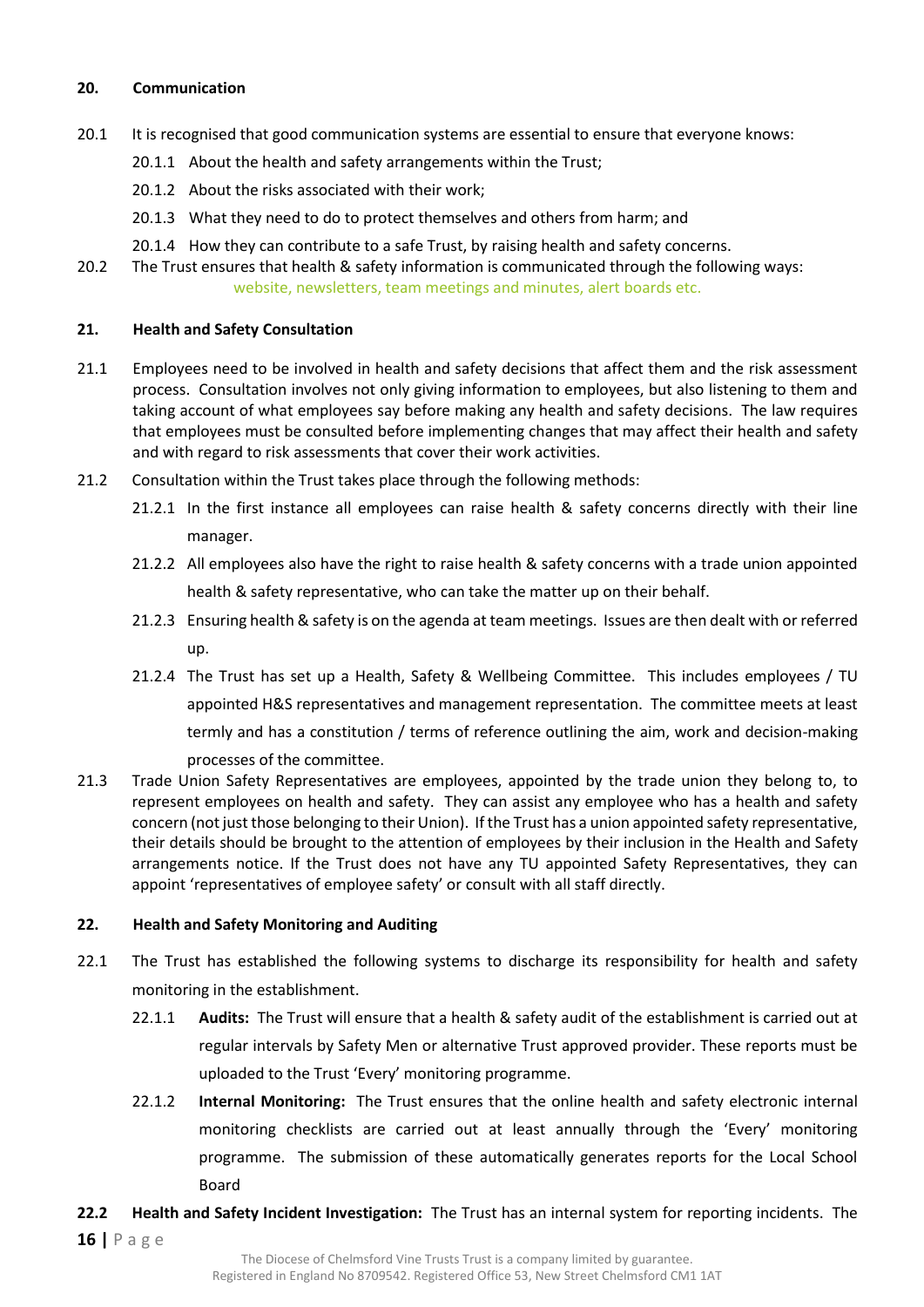#### <span id="page-15-0"></span>**20. Communication**

- 20.1 It is recognised that good communication systems are essential to ensure that everyone knows:
	- 20.1.1 About the health and safety arrangements within the Trust;
	- 20.1.2 About the risks associated with their work;
	- 20.1.3 What they need to do to protect themselves and others from harm; and
	- 20.1.4 How they can contribute to a safe Trust, by raising health and safety concerns.

20.2 The Trust ensures that health & safety information is communicated through the following ways: website, newsletters, team meetings and minutes, alert boards etc.

#### <span id="page-15-1"></span>**21. Health and Safety Consultation**

- 21.1 Employees need to be involved in health and safety decisions that affect them and the risk assessment process. Consultation involves not only giving information to employees, but also listening to them and taking account of what employees say before making any health and safety decisions. The law requires that employees must be consulted before implementing changes that may affect their health and safety and with regard to risk assessments that cover their work activities.
- 21.2 Consultation within the Trust takes place through the following methods:
	- 21.2.1 In the first instance all employees can raise health & safety concerns directly with their line manager.
	- 21.2.2 All employees also have the right to raise health & safety concerns with a trade union appointed health & safety representative, who can take the matter up on their behalf.
	- 21.2.3 Ensuring health & safety is on the agenda at team meetings. Issues are then dealt with or referred up.
	- 21.2.4 The Trust has set up a Health, Safety & Wellbeing Committee. This includes employees / TU appointed H&S representatives and management representation. The committee meets at least termly and has a constitution / terms of reference outlining the aim, work and decision-making processes of the committee.
- 21.3 Trade Union Safety Representatives are employees, appointed by the trade union they belong to, to represent employees on health and safety. They can assist any employee who has a health and safety concern (not just those belonging to their Union). If the Trust has a union appointed safety representative, their details should be brought to the attention of employees by their inclusion in the Health and Safety arrangements notice. If the Trust does not have any TU appointed Safety Representatives, they can appoint 'representatives of employee safety' or consult with all staff directly.

#### <span id="page-15-2"></span>**22. Health and Safety Monitoring and Auditing**

- 22.1 The Trust has established the following systems to discharge its responsibility for health and safety monitoring in the establishment.
	- 22.1.1 **Audits:** The Trust will ensure that a health & safety audit of the establishment is carried out at regular intervals by Safety Men or alternative Trust approved provider. These reports must be uploaded to the Trust 'Every' monitoring programme.
	- 22.1.2 **Internal Monitoring:** The Trust ensures that the online health and safety electronic internal monitoring checklists are carried out at least annually through the 'Every' monitoring programme. The submission of these automatically generates reports for the Local School Board
- **16 |** P a g e **22.2 Health and Safety Incident Investigation:** The Trust has an internal system for reporting incidents. The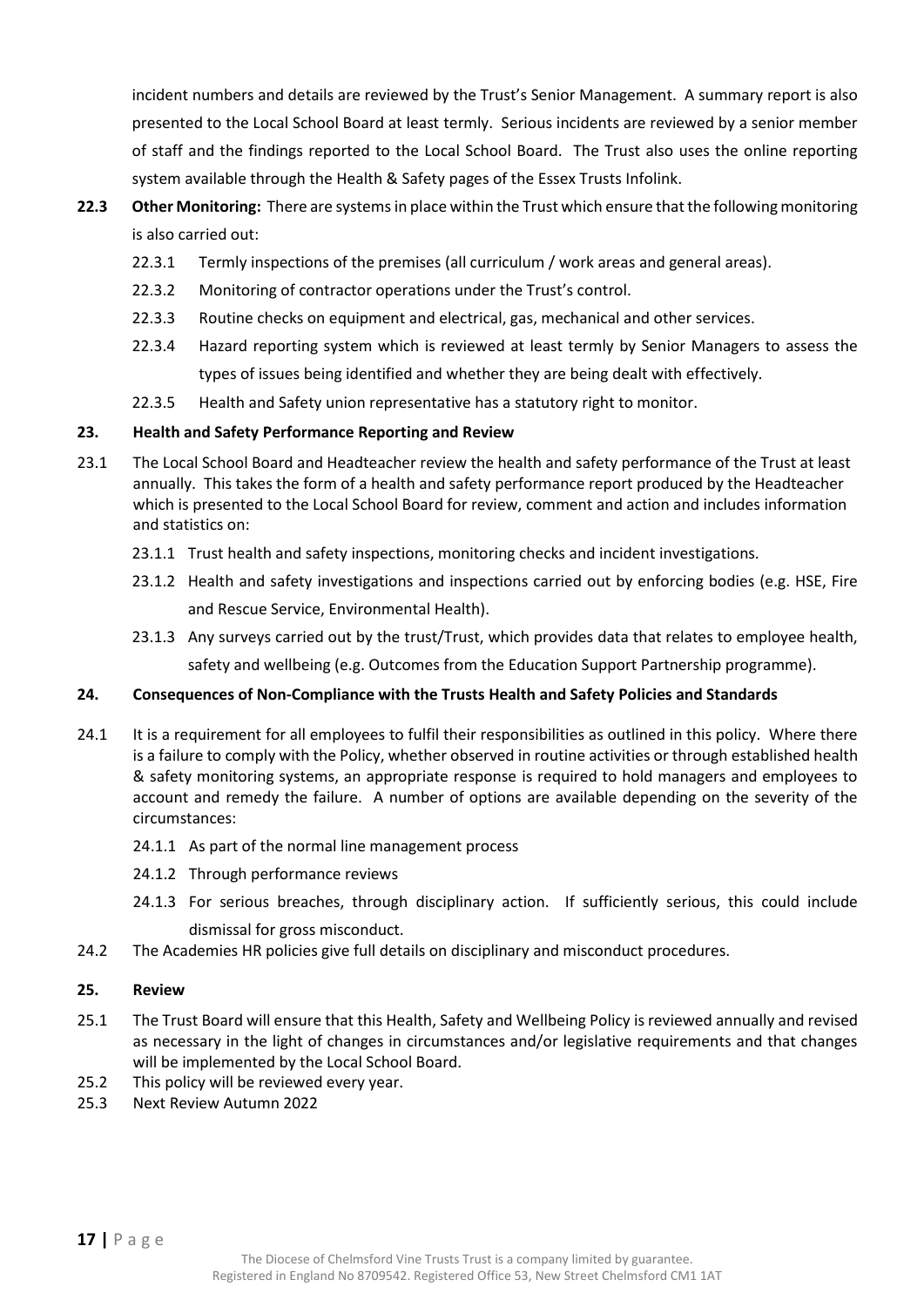incident numbers and details are reviewed by the Trust's Senior Management. A summary report is also presented to the Local School Board at least termly. Serious incidents are reviewed by a senior member of staff and the findings reported to the Local School Board. The Trust also uses the online reporting system available through the Health & Safety pages of the Essex Trusts Infolink.

- **22.3 Other Monitoring:** There are systems in place within the Trust which ensure that the following monitoring is also carried out:
	- 22.3.1 Termly inspections of the premises (all curriculum / work areas and general areas).
	- 22.3.2 Monitoring of contractor operations under the Trust's control.
	- 22.3.3 Routine checks on equipment and electrical, gas, mechanical and other services.
	- 22.3.4 Hazard reporting system which is reviewed at least termly by Senior Managers to assess the types of issues being identified and whether they are being dealt with effectively.
	- 22.3.5 Health and Safety union representative has a statutory right to monitor.

#### <span id="page-16-0"></span>**23. Health and Safety Performance Reporting and Review**

- 23.1 The Local School Board and Headteacher review the health and safety performance of the Trust at least annually. This takes the form of a health and safety performance report produced by the Headteacher which is presented to the Local School Board for review, comment and action and includes information and statistics on:
	- 23.1.1 Trust health and safety inspections, monitoring checks and incident investigations.
	- 23.1.2 Health and safety investigations and inspections carried out by enforcing bodies (e.g. HSE, Fire and Rescue Service, Environmental Health).
	- 23.1.3 Any surveys carried out by the trust/Trust, which provides data that relates to employee health, safety and wellbeing (e.g. Outcomes from the Education Support Partnership programme).

#### <span id="page-16-1"></span>**24. Consequences of Non-Compliance with the Trusts Health and Safety Policies and Standards**

- 24.1 It is a requirement for all employees to fulfil their responsibilities as outlined in this policy. Where there is a failure to comply with the Policy, whether observed in routine activities or through established health & safety monitoring systems, an appropriate response is required to hold managers and employees to account and remedy the failure. A number of options are available depending on the severity of the circumstances:
	- 24.1.1 As part of the normal line management process
	- 24.1.2 Through performance reviews
	- 24.1.3 For serious breaches, through disciplinary action. If sufficiently serious, this could include dismissal for gross misconduct.
- 24.2 The Academies HR policies give full details on disciplinary and misconduct procedures.

#### <span id="page-16-2"></span>**25. Review**

- 25.1 The Trust Board will ensure that this Health, Safety and Wellbeing Policy is reviewed annually and revised as necessary in the light of changes in circumstances and/or legislative requirements and that changes will be implemented by the Local School Board.
- 25.2 This policy will be reviewed every year.
- 25.3 Next Review Autumn 2022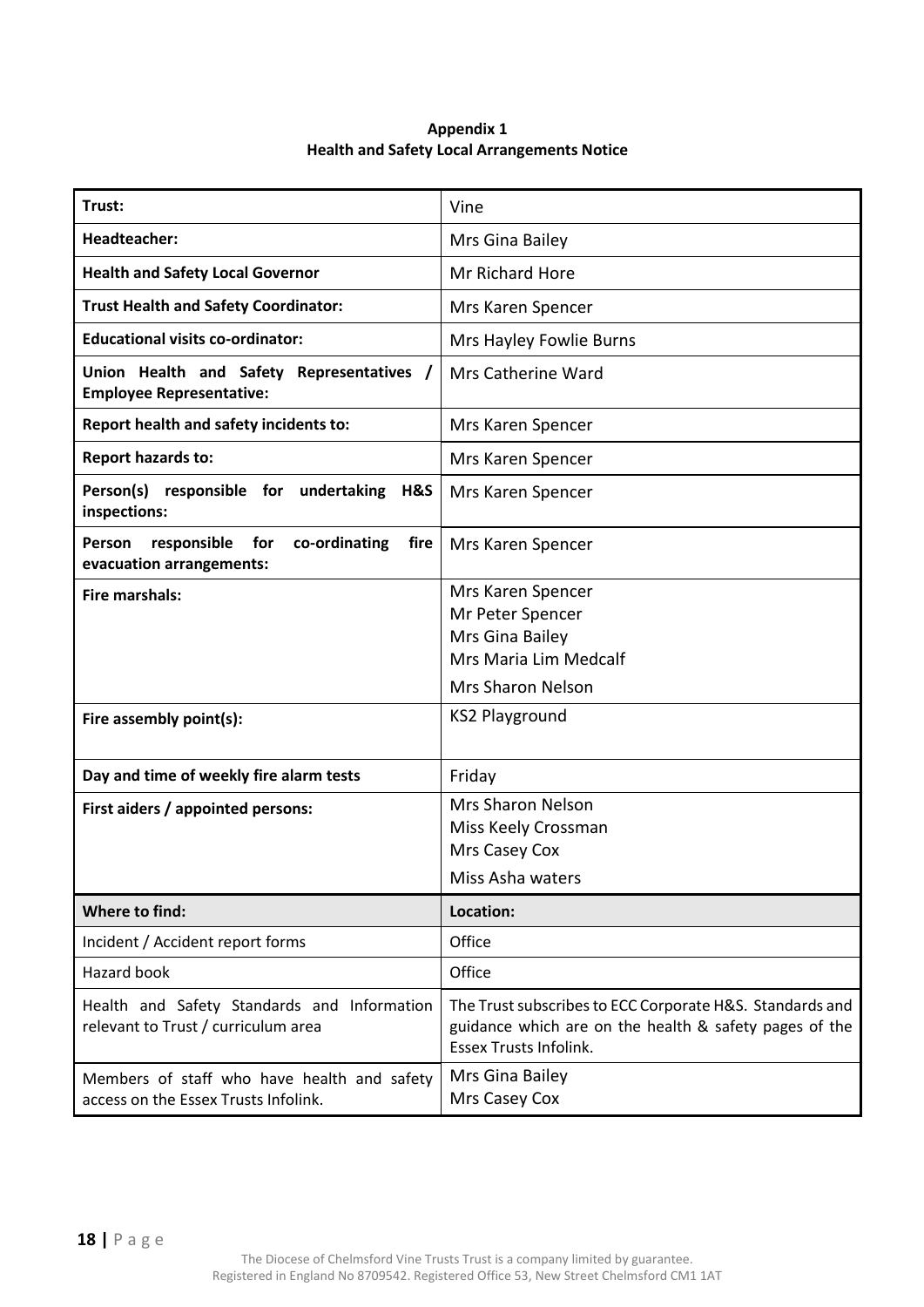| Appendix 1                                         |  |  |  |
|----------------------------------------------------|--|--|--|
| <b>Health and Safety Local Arrangements Notice</b> |  |  |  |

<span id="page-17-1"></span><span id="page-17-0"></span>

| Trust:                                                                              | Vine                                                                                                                                                |  |
|-------------------------------------------------------------------------------------|-----------------------------------------------------------------------------------------------------------------------------------------------------|--|
| <b>Headteacher:</b>                                                                 | Mrs Gina Bailey                                                                                                                                     |  |
| <b>Health and Safety Local Governor</b>                                             | Mr Richard Hore                                                                                                                                     |  |
| <b>Trust Health and Safety Coordinator:</b>                                         | Mrs Karen Spencer                                                                                                                                   |  |
| <b>Educational visits co-ordinator:</b>                                             | Mrs Hayley Fowlie Burns                                                                                                                             |  |
| Union Health and Safety Representatives<br><b>Employee Representative:</b>          | Mrs Catherine Ward                                                                                                                                  |  |
| Report health and safety incidents to:                                              | Mrs Karen Spencer                                                                                                                                   |  |
| <b>Report hazards to:</b>                                                           | Mrs Karen Spencer                                                                                                                                   |  |
| Person(s) responsible for<br>undertaking<br>H&S<br>inspections:                     | Mrs Karen Spencer                                                                                                                                   |  |
| Person<br>responsible<br>for<br>co-ordinating<br>fire<br>evacuation arrangements:   | Mrs Karen Spencer                                                                                                                                   |  |
| <b>Fire marshals:</b>                                                               | Mrs Karen Spencer<br>Mr Peter Spencer<br>Mrs Gina Bailey<br>Mrs Maria Lim Medcalf<br><b>Mrs Sharon Nelson</b>                                       |  |
| Fire assembly point(s):                                                             | <b>KS2 Playground</b>                                                                                                                               |  |
| Day and time of weekly fire alarm tests                                             | Friday                                                                                                                                              |  |
| First aiders / appointed persons:                                                   | <b>Mrs Sharon Nelson</b><br>Miss Keely Crossman<br>Mrs Casey Cox<br>Miss Asha waters                                                                |  |
| <b>Where to find:</b>                                                               | Location:                                                                                                                                           |  |
| Incident / Accident report forms                                                    | Office                                                                                                                                              |  |
| Hazard book                                                                         | Office                                                                                                                                              |  |
| Health and Safety Standards and Information<br>relevant to Trust / curriculum area  | The Trust subscribes to ECC Corporate H&S. Standards and<br>guidance which are on the health & safety pages of the<br><b>Essex Trusts Infolink.</b> |  |
| Members of staff who have health and safety<br>access on the Essex Trusts Infolink. | Mrs Gina Bailey<br>Mrs Casey Cox                                                                                                                    |  |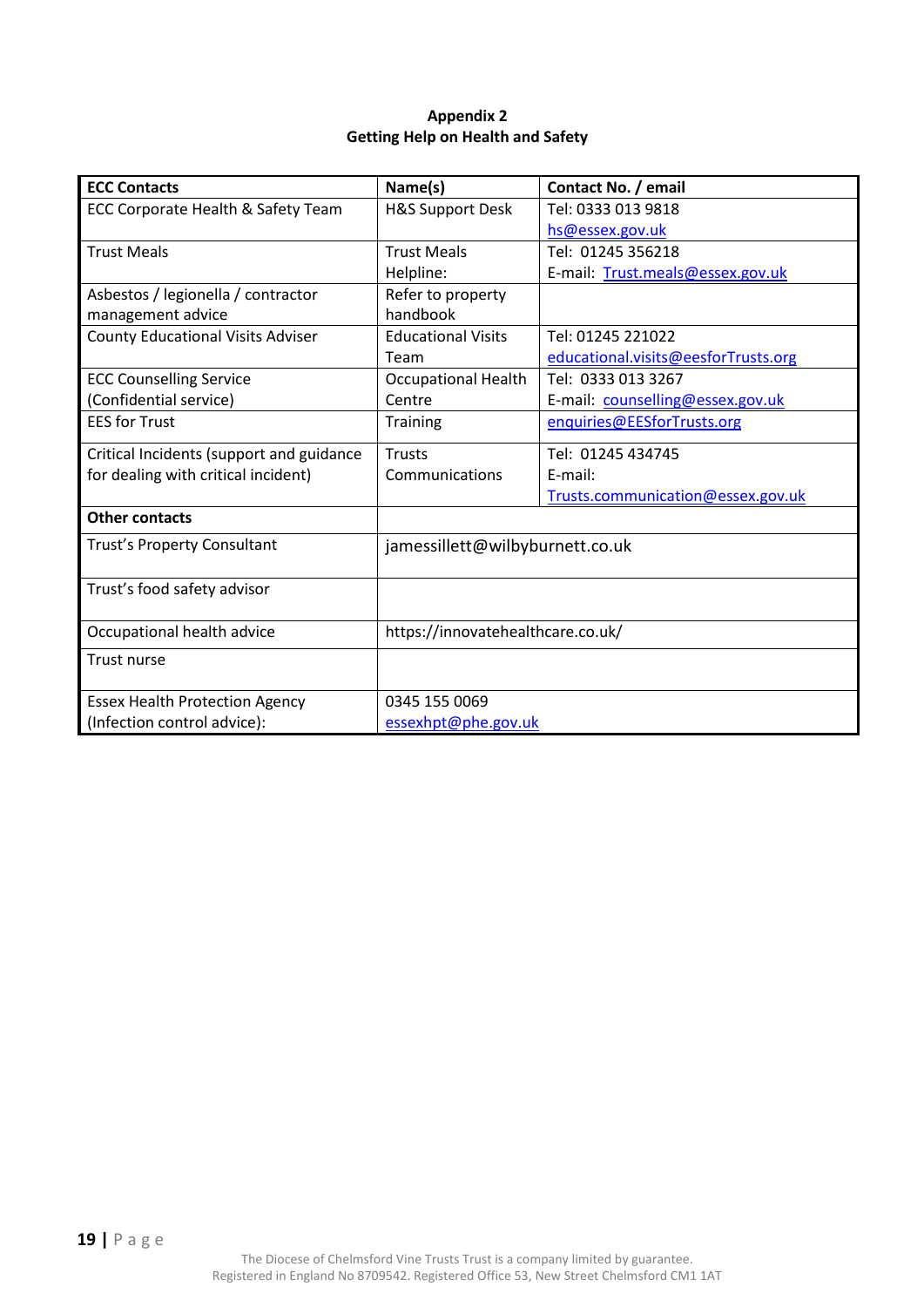#### **Appendix 2 Getting Help on Health and Safety**

<span id="page-18-1"></span><span id="page-18-0"></span>

| <b>ECC Contacts</b>                      | Name(s)                                       | Contact No. / email                 |  |
|------------------------------------------|-----------------------------------------------|-------------------------------------|--|
| ECC Corporate Health & Safety Team       | <b>H&amp;S Support Desk</b>                   | Tel: 0333 013 9818                  |  |
|                                          |                                               | hs@essex.gov.uk                     |  |
| <b>Trust Meals</b>                       | <b>Trust Meals</b>                            | Tel: 01245 356218                   |  |
|                                          | Helpline:                                     | E-mail: Trust.meals@essex.gov.uk    |  |
| Asbestos / legionella / contractor       | Refer to property                             |                                     |  |
| management advice                        | handbook                                      |                                     |  |
| <b>County Educational Visits Adviser</b> | <b>Educational Visits</b>                     | Tel: 01245 221022                   |  |
|                                          | Team                                          | educational.visits@eesforTrusts.org |  |
| <b>ECC Counselling Service</b>           | <b>Occupational Health</b>                    | Tel: 0333 013 3267                  |  |
| (Confidential service)                   | Centre                                        | E-mail: counselling@essex.gov.uk    |  |
| <b>EES for Trust</b>                     | enquiries@EESforTrusts.org<br><b>Training</b> |                                     |  |
| Critical Incidents (support and guidance | <b>Trusts</b>                                 | Tel: 01245 434745                   |  |
| for dealing with critical incident)      | Communications                                | E-mail:                             |  |
|                                          |                                               | Trusts.communication@essex.gov.uk   |  |
| <b>Other contacts</b>                    |                                               |                                     |  |
| Trust's Property Consultant              | jamessillett@wilbyburnett.co.uk               |                                     |  |
| Trust's food safety advisor              |                                               |                                     |  |
| Occupational health advice               | https://innovatehealthcare.co.uk/             |                                     |  |
| Trust nurse                              |                                               |                                     |  |
| <b>Essex Health Protection Agency</b>    | 0345 155 0069                                 |                                     |  |
| (Infection control advice):              | essexhpt@phe.gov.uk                           |                                     |  |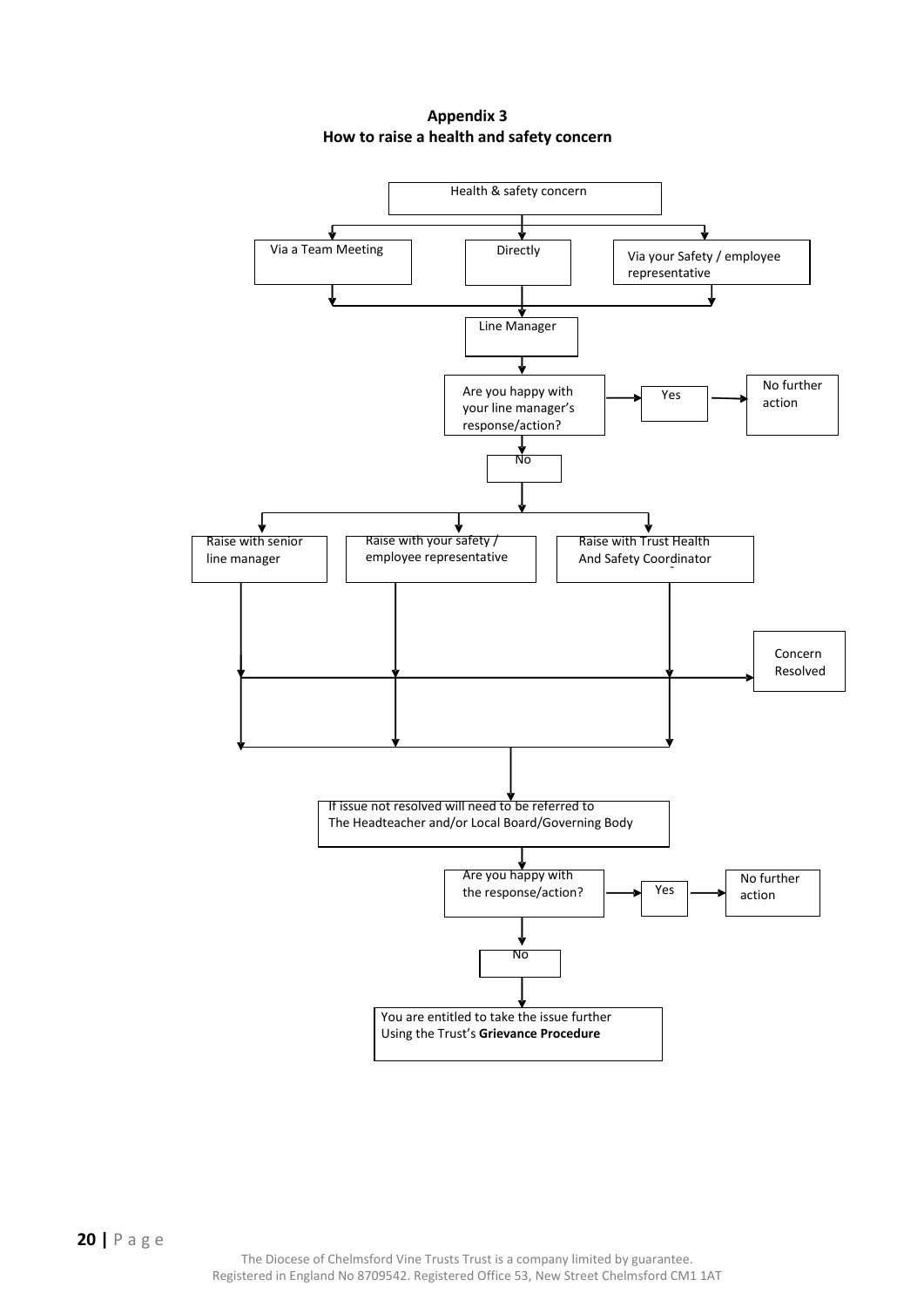**Appendix 3 How to raise a health and safety concern**

<span id="page-19-1"></span><span id="page-19-0"></span>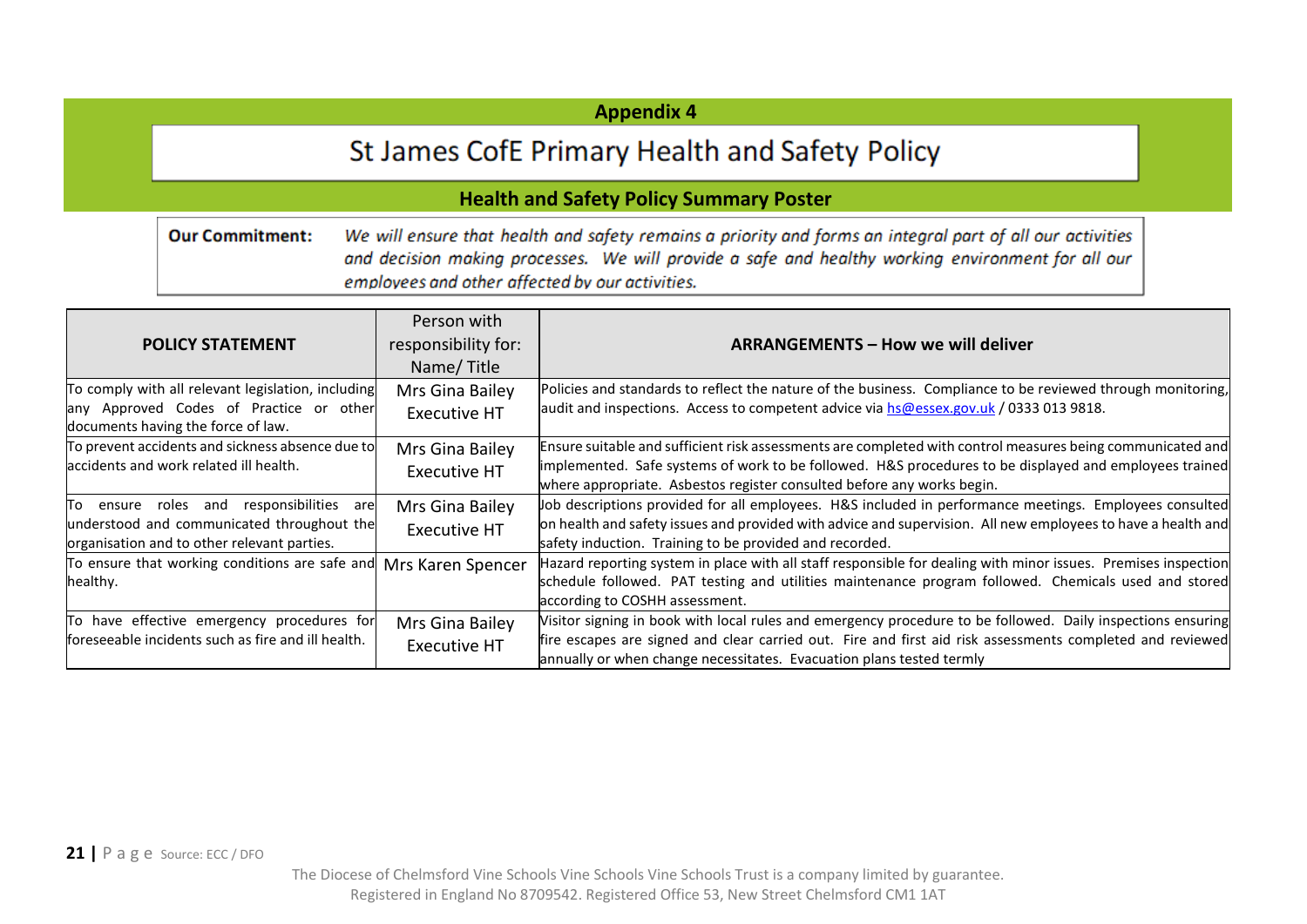#### **Appendix 4**

### St James CofE Primary Health and Safety Policy

#### **Health and Safety Policy Summary Poster**

**Our Commitment:** We will ensure that health and safety remains a priority and forms an integral part of all our activities and decision making processes. We will provide a safe and healthy working environment for all our employees and other affected by our activities.

| <b>POLICY STATEMENT</b>                                                                                                                     | Person with<br>responsibility for:<br>Name/Title | <b>ARRANGEMENTS - How we will deliver</b>                                                                                                                                                                                                                                                        |
|---------------------------------------------------------------------------------------------------------------------------------------------|--------------------------------------------------|--------------------------------------------------------------------------------------------------------------------------------------------------------------------------------------------------------------------------------------------------------------------------------------------------|
| To comply with all relevant legislation, including<br>any Approved Codes of Practice or other<br>documents having the force of law.         | Mrs Gina Bailey<br><b>Executive HT</b>           | Policies and standards to reflect the nature of the business. Compliance to be reviewed through monitoring,<br>audit and inspections. Access to competent advice via hs@essex.gov.uk / 0333 013 9818.                                                                                            |
| To prevent accidents and sickness absence due to<br>laccidents and work related ill health.                                                 | Mrs Gina Bailey<br><b>Executive HT</b>           | Ensure suitable and sufficient risk assessments are completed with control measures being communicated and<br>implemented. Safe systems of work to be followed. H&S procedures to be displayed and employees trained<br>where appropriate. Asbestos register consulted before any works begin.   |
| To ensure roles and<br>responsibilities<br>are<br>understood and communicated throughout the<br>organisation and to other relevant parties. | Mrs Gina Bailey<br><b>Executive HT</b>           | uob descriptions provided for all employees. H&S included in performance meetings. Employees consulted<br>on health and safety issues and provided with advice and supervision. All new employees to have a health and<br>safety induction. Training to be provided and recorded.                |
| To ensure that working conditions are safe and<br>healthy.                                                                                  | Mrs Karen Spencer                                | Hazard reporting system in place with all staff responsible for dealing with minor issues. Premises inspection<br>schedule followed. PAT testing and utilities maintenance program followed. Chemicals used and stored<br>according to COSHH assessment.                                         |
| To have effective emergency procedures for<br>foreseeable incidents such as fire and ill health.                                            | Mrs Gina Bailey<br><b>Executive HT</b>           | Visitor signing in book with local rules and emergency procedure to be followed. Daily inspections ensuring<br>fire escapes are signed and clear carried out. Fire and first aid risk assessments completed and reviewed<br>annually or when change necessitates. Evacuation plans tested termly |